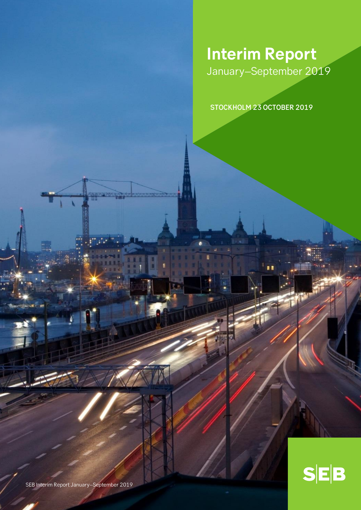# **Interim Report** January–September 2019

STOCKHOLM 23 OCTOBER 2019

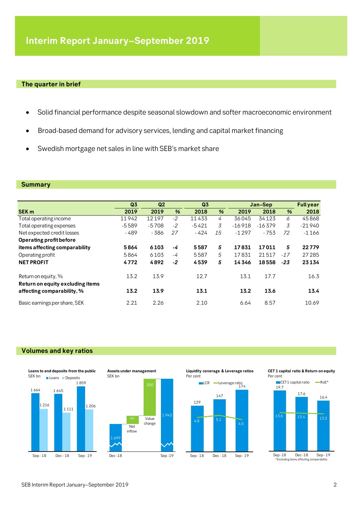### **The quarter in brief**

- Solid financial performance despite seasonal slowdown and softer macroeconomic environment
- Broad-based demand for advisory services, lending and capital market financing
- Swedish mortgage net sales in line with SEB's market share

### **Summary**

|                                                         | Q <sub>3</sub> | Q <sub>2</sub> |      | Q <sub>3</sub> |    | Jan-Sep  |          |       | <b>Full year</b> |  |
|---------------------------------------------------------|----------------|----------------|------|----------------|----|----------|----------|-------|------------------|--|
| <b>SEK m</b>                                            | 2019           | 2019           | %    | 2018           | %  | 2019     | 2018     | %     | 2018             |  |
| Total operating income                                  | 11942          | 12197          | $-2$ | 11433          | 4  | 36045    | 34123    | 6     | 45868            |  |
| Total operating expenses                                | $-5589$        | $-5708$        | $-2$ | $-5421$        | 3  | $-16918$ | $-16379$ | 3     | $-21940$         |  |
| Net expected credit losses                              | - 489          | $-386$         | 27   | $-424$         | 15 | $-1297$  | $-753$   | 72    | $-1166$          |  |
| Operating profit before                                 |                |                |      |                |    |          |          |       |                  |  |
| items affecting comparability                           | 5864           | 6103           | -4   | 5587           | 5  | 17831    | 17011    | 5     | 22779            |  |
| Operating profit                                        | 5864           | 6103           | -4   | 5587           | 5  | 17831    | 21517    | $-17$ | 27 285           |  |
| <b>NET PROFIT</b>                                       | 4772           | 4892           | $-2$ | 4539           | 5  | 14346    | 18558    | $-23$ | 23134            |  |
| Return on equity, %<br>Return on equity excluding items | 13.2           | 13.9           |      | 12.7           |    | 13.1     | 17.7     |       | 16.3             |  |
| affecting comparability, %                              | 13.2           | 13.9           |      | 13.1           |    | 13.2     | 13.6     |       | 13.4             |  |
| Basic earnings per share, SEK                           | 2.21           | 2.26           |      | 2.10           |    | 6.64     | 8.57     |       | 10.69            |  |

### **Volumes and key ratios**







**Liquidity coverage & Leverage ratios** Per cent



**CET 1 capital ratio & Return on equity** Per cent

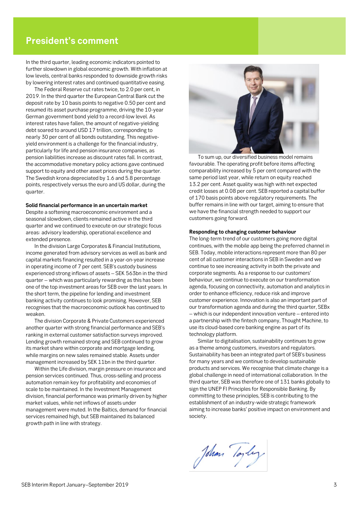### **President's comment**

In the third quarter, leading economic indicators pointed to further slowdown in global economic growth. With inflation at low levels, central banks responded to downside growth risks by lowering interest rates and continued quantitative easing.

The Federal Reserve cut rates twice, to 2.0 per cent, in 2019. In the third quarter the European Central Bank cut the deposit rate by 10 basis points to negative 0.50 per cent and resumed its asset purchase programme, driving the 10-year German government bond yield to a record-low level. As interest rates have fallen, the amount of negative-yielding debt soared to around USD 17 trillion, corresponding to nearly 30 per cent of all bonds outstanding. This negativeyield environment is a challenge for the financial industry, particularly for life and pension insurance companies, as pension liabilities increase as discount rates fall. In contrast, the accommodative monetary policy actions gave continued support to equity and other asset prices during the quarter. The Swedish krona depreciated by 1.6 and 5.8 percentage points, respectively versus the euro and US dollar, during the quarter.

#### **Solid financial performance in an uncertain market**

Despite a softening macroeconomic environment and a seasonal slowdown, clients remained active in the third quarter and we continued to execute on our strategic focus areas: advisory leadership, operational excellence and extended presence.

In the division Large Corporates & Financial Institutions, income generated from advisory services as well as bank and capital markets financing resulted in a year-on-year increase in operating income of 7 per cent. SEB's custody business experienced strong inflows of assets – SEK 563bn in the third quarter – which was particularly rewarding as this has been one of the top investment areas for SEB over the last years. In the short term, the pipeline for lending and investment banking activity continues to look promising. However, SEB recognises that the macroeconomic outlook has continued to weaken.

The division Corporate & Private Customers experienced another quarter with strong financial performance and SEB's ranking in external customer satisfaction surveys improved. Lending growth remained strong and SEB continued to grow its market share within corporate and mortgage lending, while margins on new sales remained stable. Assets under management increased by SEK 11bn in the third quarter.

Within the Life division, margin pressure on insurance and pension services continued. Thus, cross-selling and process automation remain key for profitability and economies of scale to be maintained. In the Investment Management division, financial performance was primarily driven by higher market values, while net inflows of assets under management were muted. In the Baltics, demand for financial services remained high, but SEB maintained its balanced growth path in line with strategy.



To sum up, our diversified business model remains favourable. The operating profit before items affecting comparability increased by 5 per cent compared with the same period last year, while return on equity reached 13.2 per cent. Asset quality was high with net expected credit losses at 0.08 per cent. SEB reported a capital buffer of 170 basis points above regulatory requirements. The buffer remains in line with our target, aiming to ensure that we have the financial strength needed to support our customers going forward.

#### **Responding to changing customer behaviour**

The long-term trend of our customers going more digital continues, with the mobile app being the preferred channel in SEB. Today, mobile interactions represent more than 80 per cent of all customer interactions in SEB in Sweden and we continue to see increasing activity in both the private and corporate segments. As a response to our customers' behaviour, we continue to execute on our transformation agenda, focusing on connectivity, automation and analytics in order to enhance efficiency, reduce risk and improve customer experience. Innovation is also an important part of our transformation agenda and during the third quarter, SEBx – which is our independent innovation venture – entered into a partnership with the fintech company, Thought Machine, to use its cloud-based core banking engine as part of its technology platform.

Similar to digitalisation, sustainability continues to grow as a theme among customers, investors and regulators. Sustainability has been an integrated part of SEB's business for many years and we continue to develop sustainable products and services. We recognise that climate change is a global challenge in need of international collaboration. In the third quarter, SEB was therefore one of 131 banks globally to sign the UNEP FI Principles for Responsible Banking. By committing to these principles, SEB is contributing to the establishment of an industry-wide strategic framework aiming to increase banks' positive impact on environment and society.

John Toyley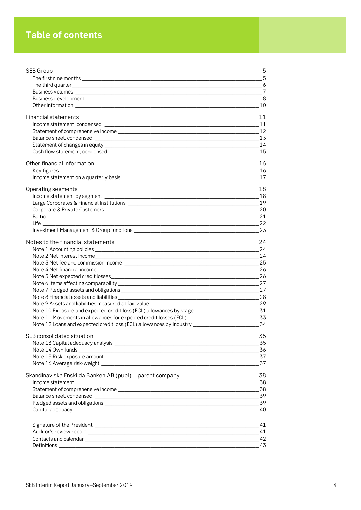## **Table of contents**

| SEB Group                                                                                              | 5              |
|--------------------------------------------------------------------------------------------------------|----------------|
|                                                                                                        | 5              |
|                                                                                                        |                |
|                                                                                                        |                |
|                                                                                                        | - 8            |
|                                                                                                        |                |
| <b>Financial statements</b>                                                                            | 11             |
|                                                                                                        |                |
|                                                                                                        |                |
|                                                                                                        |                |
|                                                                                                        |                |
|                                                                                                        |                |
| Other financial information                                                                            | 16             |
|                                                                                                        | 16             |
|                                                                                                        | $-17$          |
| Operating segments                                                                                     | 18             |
|                                                                                                        |                |
|                                                                                                        |                |
|                                                                                                        |                |
|                                                                                                        | $\frac{1}{21}$ |
|                                                                                                        | 22             |
|                                                                                                        | 23             |
| Notes to the financial statements                                                                      | 24             |
|                                                                                                        | 24             |
|                                                                                                        | 24             |
|                                                                                                        |                |
|                                                                                                        |                |
|                                                                                                        | 26             |
|                                                                                                        |                |
|                                                                                                        |                |
| Note 9 Assets and liabilities measured at fair value ____________                                      |                |
| Note 10 Exposure and expected credit loss (ECL) allowances by stage _____________________________31    | $\sim$ 29      |
|                                                                                                        |                |
| Note 12 Loans and expected credit loss (ECL) allowances by industry ________________________________34 |                |
|                                                                                                        |                |
| SEB consolidated situation                                                                             | 35             |
|                                                                                                        |                |
|                                                                                                        |                |
|                                                                                                        |                |
|                                                                                                        | 37             |
| Skandinaviska Enskilda Banken AB (publ) - parent company                                               | 38             |
|                                                                                                        |                |
|                                                                                                        |                |
|                                                                                                        |                |
|                                                                                                        |                |
|                                                                                                        |                |
|                                                                                                        |                |
|                                                                                                        |                |
|                                                                                                        |                |
|                                                                                                        | 43             |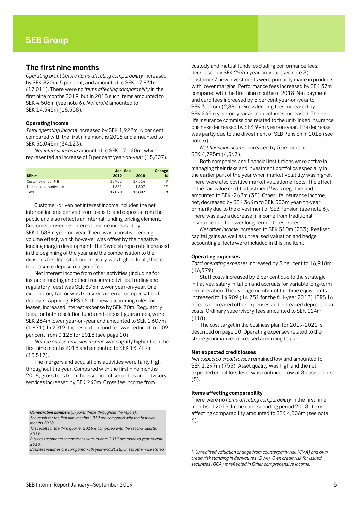### <span id="page-4-1"></span><span id="page-4-0"></span>**The first nine months**

*Operating profit before items affecting comparability* increased by SEK 820m, 5 per cent, and amounted to SEK 17,831m (17,011). There were no *items affecting comparability* in the first nine months 2019, but in 2018 such items amounted to SEK 4,506m (see note 6). *Net profit* amounted to SEK 14,346m (18,558).

#### **Operating income**

*Total operating income* increased by SEK 1,922m, 6 per cent, compared with the first nine months 2018 and amounted to SEK 36,045m (34,123).

*Net interest income* amounted to SEK 17,020m, which represented an increase of 8 per cent year-on-year (15,807).

|                           |         | Jan-Sep  |    |  |  |
|---------------------------|---------|----------|----|--|--|
| SEK <sub>m</sub>          | 2019    | 2018     | %  |  |  |
| Customer-driven NII       | 18902   | 17314    |    |  |  |
| NII from other activities | $-1882$ | $-1.507$ | 25 |  |  |
| Total                     | 17020   | 15807    |    |  |  |

Customer-driven net interest income includes the net interest income derived from loans to and deposits from the public and also reflects an internal funding pricing element. Customer-driven net interest income increased by SEK 1,588m year-on-year. There was a positive lending volume effect, which however was offset by the negative lending margin development. The Swedish repo rate increased in the beginning of the year and the compensation to the divisions for deposits from treasury was higher. In all, this led to a positive deposit margin effect.

Net interest income from other activities (including for instance funding and other treasury activities, trading and regulatory fees) was SEK 375m lower year-on-year. One explanatory factor was treasury's internal compensation for deposits. Applying IFRS 16, the new accounting rules for leases, increased interest expense by SEK 70m. Regulatory fees, for both resolution funds and deposit guarantees, were SEK 264m lower year-on-year and amounted to SEK 1,607m (1,871). In 2019, the resolution fund fee was reduced to 0.09 per cent from 0.125 for 2018 (see page 10).

*Net fee and commission income* was slightly higher than the first nine months 2018 and amounted to SEK 13,719m (13,517).

The mergers and acquisitions activities were fairly high throughout the year. Compared with the first nine months 2018, gross fees from the issuance of securities and advisory services increased by SEK 240m. Gross fee income from

*Comparative numbers (in parenthesis throughout the report):*

*The result for the first nine months 2019 are compared with the first nine months 2018.*

*The result for the third quarter 2019 is compared with the second quarter 2019.*

*Business segments comparisons year-to-date 2019 are made to year-to-date 2018.* 

*Business volumes are compared with year-end 2018, unless otherwise stated.*

custody and mutual funds, excluding performance fees, decreased by SEK 299m year-on-year (see note 3). Customers' new investments were primarily made in products with lower margins. Performance fees increased by SEK 37m compared with the first nine months of 2018. Net payment and card fees increased by 5 per cent year-on-year to SEK 3,016m (2,880). Gross lending fees increased by SEK 245m year-on-year as loan volumes increased. The net life insurance commissions related to the unit-linked insurance business decreased by SEK 99m year-on-year. The decrease was partly due to the divestment of SEB Pension in 2018 (see note 6).

*Net financial income* increased by 5 per cent to SEK 4,795m (4,567).

Both companies and financial institutions were active in managing their risks and investment portfolios especially in the earlier part of the year when market volatility was higher. There were also positive market valuation effects. The effect in the fair value credit adjustment<sup>1)</sup> was negative and amounted to SEK -268m (38). Other life insurance income, net, decreased by SEK 364m to SEK 503m year-on-year, primarily due to the divestment of SEB Pension (see note 6). There was also a decrease in income from traditional insurance due to lower long-term interest rates.

*Net other income* increased to SEK 510m (233). Realised capital gains as well as unrealised valuation and hedge accounting effects were included in this line item.

#### **Operating expenses**

*Total operating expenses* increased by 3 per cent to 16,918m (16,379).

Staff costs increased by 2 per cent due to the strategic initiatives, salary inflation and accruals for variable long-term remuneration. The average number of full-time equivalents increased to 14,909 (14,751 for the full-year 2018). IFRS 16 effects decreased other expenses and increased depreciation costs. Ordinary supervisory fees amounted to SEK 114m (118).

The cost target in the business plan for 2019-2021 is described on page 10. Operating expenses related to the strategic initiatives increased according to plan.

#### **Net expected credit losses**

*Net expected credit losses* remained low and amounted to SEK 1,297m (753). Asset quality was high and the net expected credit loss level was continued low at 8 basis points (5).

#### **Items affecting comparability**

.

There were no *items affecting comparability* in the first nine months of 2019. In the corresponding period 2018, items affecting comparability amounted to SEK 4,506m (see note 6).

*<sup>1)</sup> Unrealised valuation change from counterparty risk (CVA) and own credit risk standing in derivatives (DVA). Own credit risk for issued securities (OCA) is reflected in Other comprehensive income.*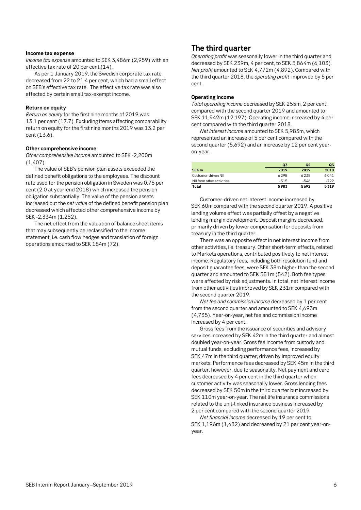#### **Income tax expense**

*Income tax expense* amounted to SEK 3,486m (2,959) with an effective tax rate of 20 per cent (14).

As per 1 January 2019, the Swedish corporate tax rate decreased from 22 to 21.4 per cent, which had a small effect on SEB's effective tax rate. The effective tax rate was also affected by certain small tax-exempt income.

#### **Return on equity**

*Return on equity* for the first nine months of 2019 was 13.1 per cent (17.7). Excluding items affecting comparability return on equity for the first nine months 2019 was 13.2 per cent (13.6).

#### **Other comprehensive income**

*Other comprehensive income* amounted to SEK -2,200m (1,407).

The value of SEB's pension plan assets exceeded the defined benefit obligations to the employees. The discount rate used for the pension obligation in Sweden was 0.75 per cent (2.0 at year-end 2018) which increased the pension obligation substantially. The value of the pension assets increased but the *net value* of the defined benefit pension plan decreased which affected other comprehensive income by SEK -2,334m (1,252).

The net effect from the valuation of balance sheet items that may subsequently be reclassified to the income statement, i.e. cash flow hedges and translation of foreign operations amounted to SEK 184m (72).

### <span id="page-5-0"></span>**The third quarter**

*Operating profit* was seasonally lower in the third quarter and decreased by SEK 239m, 4 per cent, to SEK 5,864m (6,103). *Net profit* amounted to SEK 4,772m (4,892). Compared with the third quarter 2018, the *operating profit* improved by 5 per cent.

### **Operating income**

*Total operating income* decreased by SEK 255m, 2 per cent, compared with the second quarter 2019 and amounted to SEK 11,942m (12,197). Operating income increased by 4 per cent compared with the third quarter 2018.

*Net interest income* amounted to SEK 5,983m, which represented an increase of 5 per cent compared with the second quarter (5,692) and an increase by 12 per cent yearon-year.

|                           | Q <sub>3</sub> | Q <sub>2</sub> | Q <sub>3</sub> |
|---------------------------|----------------|----------------|----------------|
| SEK <sub>m</sub>          | 2019           | 2019           | 2018           |
| Customer-driven NII       | 6298           | 6238           | 6041           |
| NII from other activities | $-315$         | $-546$         | $-722$         |
| Total                     | 5983           | 5692           | 5319           |

Customer-driven net interest income increased by SEK 60m compared with the second quarter 2019. A positive lending volume effect was partially offset by a negative lending margin development. Deposit margins decreased, primarily driven by lower compensation for deposits from treasury in the third quarter.

There was an opposite effect in net interest income from other activities, i.e. treasury. Other short-term effects, related to Markets operations, contributed positively to net interest income. Regulatory fees, including both resolution fund and deposit guarantee fees, were SEK 38m higher than the second quarter and amounted to SEK 581m (542). Both fee types were affected by risk adjustments. In total, net interest income from other activities improved by SEK 231m compared with the second quarter 2019.

*Net fee and commission income* decreased by 1 per cent from the second quarter and amounted to SEK 4,693m (4,735). Year-on-year, net fee and commission income increased by 4 per cent.

Gross fees from the issuance of securities and advisory services increased by SEK 42m in the third quarter and almost doubled year-on-year. Gross fee income from custody and mutual funds, excluding performance fees, increased by SEK 47m in the third quarter, driven by improved equity markets. Performance fees decreased by SEK 45m in the third quarter, however, due to seasonality. Net payment and card fees decreased by 4 per cent in the third quarter when customer activity was seasonally lower. Gross lending fees decreased by SEK 50m in the third quarter but increased by SEK 110m year-on-year. The net life insurance commissions related to the unit-linked insurance business increased by 2 per cent compared with the second quarter 2019.

*Net financial income* decreased by 19 per cent to SEK 1,196m (1,482) and decreased by 21 per cent year-onyear.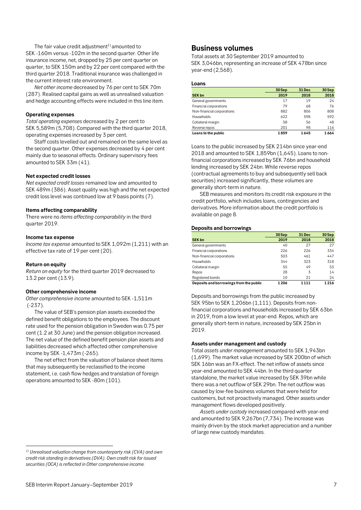The fair value credit adjustment<sup>1)</sup> amounted to SEK -160m versus -102m in the second quarter. Other life insurance income, net, dropped by 25 per cent quarter on quarter, to SEK 150m and by 22 per cent compared with the third quarter 2018. Traditional insurance was challenged in the current interest rate environment.

*Net other income* decreased by 76 per cent to SEK 70m (287). Realised capital gains as well as unrealised valuation and hedge accounting effects were included in this line item.

#### **Operating expenses**

*Total operating expenses* decreased by 2 per cent to SEK 5,589m (5,708). Compared with the third quarter 2018, operating expenses increased by 3 per cent.

Staff costs levelled out and remained on the same level as the second quarter. Other expenses decreased by 4 per cent mainly due to seasonal effects. Ordinary supervisory fees amounted to SEK 33m (41).

### **Net expected credit losses**

*Net expected credit losses* remained low and amounted to SEK 489m (386). Asset quality was high and the net expected credit loss level was continued low at 9 basis points (7).

#### **Items affecting comparability**

There were no *items affecting comparability* in the third quarter 2019.

#### **Income tax expense**

*Income tax expense* amounted to SEK 1,092m (1,211) with an effective tax rate of 19 per cent (20).

#### **Return on equity**

 $\overline{a}$ 

*Return on equity* for the third quarter 2019 decreased to 13.2 per cent (13.9).

### **Other comprehensive income**

*Other comprehensive income* amounted to SEK -1,511m (-237).

The value of SEB's pension plan assets exceeded the defined benefit obligations to the employees. The discount rate used for the pension obligation in Sweden was 0.75 per cent (1.2 at 30 June) and the pension obligation increased. The net value of the defined benefit pension plan assets and liabilities decreased which affected other comprehensive income by SEK -1,473m (-265).

The net effect from the valuation of balance sheet items that may subsequently be reclassified to the income statement, i.e. cash flow hedges and translation of foreign operations amounted to SEK -80m (101).

*1) Unrealised valuation change from counterparty risk (CVA) and own credit risk standing in derivatives (DVA). Own credit risk for issued securities (OCA) is reflected in Other comprehensive income.* 

### <span id="page-6-0"></span>**Business volumes**

Total assets at 30 September 2019 amounted to SEK 3,046bn, representing an increase of SEK 478bn since year-end (2,568).

#### **Loans**

|                            | 30 Sep | 31 Dec | 30 Sep |
|----------------------------|--------|--------|--------|
| <b>SEK bn</b>              | 2019   | 2018   | 2018   |
| General governments        | 17     | 19     | 24     |
| Financial corporations     | 79     | 68     | 76     |
| Non-financial corporations | 882    | 806    | 808    |
| <b>Households</b>          | 622    | 598    | 592    |
| Collateral margin          | 58     | 56     | 48     |
| Reverse repos              | 201    | 98     | 116    |
| Loans to the public        | 1859   | 1645   | 1664   |

Loans to the public increased by SEK 214bn since year-end 2018 and amounted to SEK 1,859bn (1,645). Loans to nonfinancial corporations increased by SEK 76bn and household lending increased by SEK 24bn. While reverse repos (contractual agreements to buy and subsequently sell back securities) increased significantly, these volumes are generally short-term in nature.

SEB measures and monitors its credit risk exposure in the credit portfolio, which includes loans, contingencies and derivatives. More information about the credit portfolio is available on page 8.

#### **Deposits and borrowings**

|                                         | 30 Sep  | 31 Dec  | 30 Sep  |
|-----------------------------------------|---------|---------|---------|
| <b>SEK bn</b>                           | 2019    | 2018    | 2018    |
| General governments                     | 40      | 27      | 27      |
| Financial corporations                  | 226     | 226     | 334     |
| Non-financial corporations              | 503     | 461     | 447     |
| <b>Households</b>                       | 344     | 323     | 318     |
| Collateral margin                       | 55      | 49      | 53      |
| Repos                                   | 28      | 3       | 14      |
| Registered bonds                        | 10      | 21      | 24      |
| Deposits and borrowings from the public | 1 2 0 6 | 1 1 1 1 | 1 2 1 6 |

Deposits and borrowings from the public increased by SEK 95bn to SEK 1,206bn (1,111). Deposits from nonfinancial corporations and households increased by SEK 63bn in 2019, from a low level at year-end. Repos, which are generally short-term in nature, increased by SEK 25bn in 2019.

### **Assets under management and custody**

Total *assets under management* amounted to SEK 1,943bn (1,699). The market value increased by SEK 200bn of which SEK 16bn was an FX-effect. The net inflow of assets since year-end amounted to SEK 44bn. In the third quarter standalone, the market value increased by SEK 39bn while there was a net outflow of SEK 29bn. The net outflow was caused by low-fee business volumes that were held for customers, but not proactively managed. Other assets under management flows developed positively.

*Assets under custody* increased compared with year-end and amounted to SEK 9,267bn (7,734). The increase was mainly driven by the stock market appreciation and a number of large new custody mandates.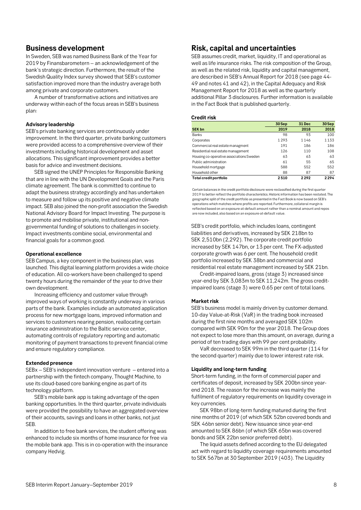### <span id="page-7-0"></span>**Business development**

In Sweden, SEB was named Business Bank of the Year for 2019 by Finansbarometern – an acknowledgement of the bank's strategic direction. Furthermore, the result of the Swedish Quality Index survey showed that SEB's customer satisfaction improved more than the industry average both among private and corporate customers.

A number of transformative actions and initiatives are underway within each of the focus areas in SEB's business plan:

#### **Advisory leadership**

SEB's private banking services are continuously under improvement. In the third quarter, private banking customers were provided access to a comprehensive overview of their investments including historical development and asset allocations. This significant improvement provides a better basis for advice and investment decisions.

SEB signed the UNEP Principles for Responsible Banking that are in line with the UN Development Goals and the Paris climate agreement. The bank is committed to continue to adapt the business strategy accordingly and has undertaken to measure and follow up its positive and negative climate impact. SEB also joined the non-profit association the Swedish National Advisory Board for Impact Investing. The purpose is to promote and mobilise private, institutional and nongovernmental funding of solutions to challenges in society. Impact investments combine social, environmental and financial goals for a common good.

#### **Operational excellence**

SEB Campus, a key component in the business plan, was launched. This digital learning platform provides a wide choice of education. All co-workers have been challenged to spend twenty hours during the remainder of the year to drive their own development.

Increasing efficiency and customer value through improved ways of working is constantly underway in various parts of the bank. Examples include an automated application process for new mortgage loans, improved information and services to customers nearing pension, reallocating certain insurance administration to the Baltic service center, automating controls of regulatory reporting and automatic monitoring of payment transactions to prevent financial crime and ensure regulatory compliance.

#### **Extended presence**

SEBx – SEB's independent innovation venture – entered into a partnership with the fintech company, Thought Machine, to use its cloud-based core banking engine as part of its technology platform.

SEB's mobile bank app is taking advantage of the open banking opportunities. In the third quarter, private individuals were provided the possibility to have an aggregated overview of their accounts, savings and loans in other banks, not just SEB.

In addition to free bank services, the student offering was enhanced to include six months of home insurance for free via the mobile bank app. This is in co-operation with the insurance company Hedvig.

### **Risk, capital and uncertainties**

SEB assumes credit, market, liquidity, IT and operational as well as life insurance risks. The risk composition of the Group, as well as the related risk, liquidity and capital management, are described in SEB's Annual Report for 2018 (see page 44- 49 and notes 41 and 42), in the Capital Adequacy and Risk Management Report for 2018 as well as the quarterly additional Pillar 3 disclosures. Further information is available in the Fact Book that is published quarterly.

### **Credit risk**

|                                          | 30Sep   | 31 Dec | 30Sep |
|------------------------------------------|---------|--------|-------|
| <b>SEK bn</b>                            | 2019    | 2018   | 2018  |
| Banks                                    | 98      | 93     | 100   |
| Corporates                               | 1 2 9 3 | 1146   | 1133  |
| Commercial real estate managment         | 191     | 186    | 186   |
| Residential real estate management       | 126     | 110    | 108   |
| Housing co-operative associations Sweden | 63      | 63     | 63    |
| Public administration                    | 61      | 55     | 65    |
| Household mortgage                       | 588     | 552    | 552   |
| Household other                          | 88      | 87     | 87    |
| Total credit portfolio                   | 2510    | 2292   | 2294  |

Certain balances in the credit portfolio disclosure were reclassified during the first quarter 2019 to better reflect the portfolio characteristics. Historic information has been restated. The geographic split of the credit portfolio as presented in the Fact Book is now based on SEB's operations which matches where profits are reported. Furthermore, collateral margin is reflected based on an exposure-at-default amount rather than a nominal amount and repos are now included, also based on an exposure-at-default value.

SEB's credit portfolio, which includes loans, contingent liabilities and derivatives, increased by SEK 218bn to SEK 2,510bn (2,292). The corporate credit portfolio increased by SEK 147bn, or 13 per cent. The FX-adjusted corporate growth was 6 per cent. The household credit portfolio increased by SEK 38bn and commercial and residential real estate management increased by SEK 21bn.

Credit-impaired loans, gross (stage 3) increased since year-end by SEK 3,083m to SEK 11,242m. The gross creditimpaired loans (stage 3) were 0.65 per cent of total loans.

### **Market risk**

SEB's business model is mainly driven by customer demand. 10-day Value-at-Risk (VaR) in the trading book increased during the first nine months and averaged SEK 102m compared with SEK 90m for the year 2018. The Group does not expect to lose more than this amount, on average, during a period of ten trading days with 99 per cent probability.

VaR decreased to SEK 99m in the third quarter (114 for the second quarter) mainly due to lower interest rate risk.

### **Liquidity and long-term funding**

Short-term funding, in the form of commercial paper and certificates of deposit, increased by SEK 200bn since yearend 2018. The reason for the increase was mainly the fulfilment of regulatory requirements on liquidity coverage in key currencies.

SEK 98bn of long-term funding matured during the first nine months of 2019 (of which SEK 52bn covered bonds and SEK 46bn senior debt). New issuance since year-end amounted to SEK 86bn (of which SEK 65bn was covered bonds and SEK 22bn senior preferred debt).

The liquid assets defined according to the EU delegated act with regard to liquidity coverage requirements amounted to SEK 567bn at 30 September 2019 (403). The Liquidity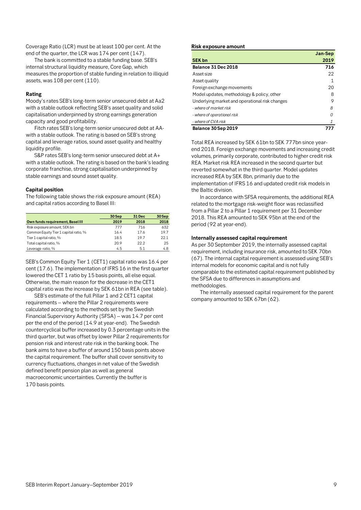Coverage Ratio (LCR) must be at least 100 per cent. At the end of the quarter, the LCR was 174 per cent (147).

The bank is committed to a stable funding base. SEB's internal structural liquidity measure, Core Gap, which measures the proportion of stable funding in relation to illiquid assets, was 108 per cent (110).

### **Rating**

Moody's rates SEB's long-term senior unsecured debt at Aa2 with a stable outlook reflecting SEB's asset quality and solid capitalisation underpinned by strong earnings generation capacity and good profitability.

Fitch rates SEB's long-term senior unsecured debt at AAwith a stable outlook. The rating is based on SEB's strong capital and leverage ratios, sound asset quality and healthy liquidity profile.

S&P rates SEB's long-term senior unsecured debt at A+ with a stable outlook. The rating is based on the bank's leading corporate franchise, strong capitalisation underpinned by stable earnings and sound asset quality.

### **Capital position**

The following table shows the risk exposure amount (REA) and capital ratios according to Basel III:

|                                       | 30 Sep<br>31 Dec |      | 30 Sep |
|---------------------------------------|------------------|------|--------|
| Own funds requirement, Basel III      | 2019             | 2018 | 2018   |
| Risk exposure amount, SEK bn          | 777              | 716  | 632    |
| Common Equity Tier 1 capital ratio, % | 16.4             | 17.6 | 19.7   |
| Tier 1 capital ratio, %               | 18.5             | 19.7 | 22.1   |
| Total capital ratio, %                | 20.9             | 22.2 | 25     |
| Leverage ratio, %                     | 4.5              | 5.1  | 4.8    |

SEB's Common Equity Tier 1 (CET1) capital ratio was 16.4 per cent (17.6). The implementation of IFRS 16 in the first quarter lowered the CET 1 ratio by 15 basis points, all else equal. Otherwise, the main reason for the decrease in the CET1 capital ratio was the increase by SEK 61bn in REA (see table).

SEB's estimate of the full Pillar 1 and 2 CET1 capital requirements – where the Pillar 2 requirements were calculated according to the methods set by the Swedish Financial Supervisory Authority (SFSA) – was 14.7 per cent per the end of the period (14.9 at year-end). The Swedish countercyclical buffer increased by 0.3 percentage units in the third quarter, but was offset by lower Pillar 2 requirements for pension risk and interest rate risk in the banking book. The bank aims to have a buffer of around 150 basis points above the capital requirement. The buffer shall cover sensitivity to currency fluctuations, changes in net value of the Swedish defined benefit pension plan as well as general macroeconomic uncertainties. Currently the buffer is 170 basis points.

### **Risk exposure amount**

|                                                | Jan-Sep       |
|------------------------------------------------|---------------|
| <b>SEK bn</b>                                  | 2019          |
| <b>Balance 31 Dec 2018</b>                     | 716           |
| Asset size                                     | 22            |
| Asset quality                                  |               |
| Foreign exchange movements                     | 20            |
| Model updates, methodology & policy, other     | 8             |
| Underlying market and operational risk changes | 9             |
| - where of market risk                         | 8             |
| - where of operational risk                    | Ω             |
| - where of CVA risk                            | $\mathcal{I}$ |
| <b>Balance 30 Sep 2019</b>                     | 777           |

Total REA increased by SEK 61bn to SEK 777bn since yearend 2018. Foreign exchange movements and increasing credit volumes, primarily corporate, contributed to higher credit risk REA. Market risk REA increased in the second quarter but reverted somewhat in the third quarter. Model updates increased REA by SEK 8bn, primarily due to the implementation of IFRS 16 and updated credit risk models in the Baltic division.

In accordance with SFSA requirements, the additional REA related to the mortgage risk-weight floor was reclassified from a Pillar 2 to a Pillar 1 requirement per 31 December 2018. This REA amounted to SEK 95bn at the end of the period (92 at year-end).

### **Internally assessed capital requirement**

As per 30 September 2019, the internally assessed capital requirement, including insurance risk, amounted to SEK 70bn (67). The internal capital requirement is assessed using SEB's internal models for economic capital and is not fully comparable to the estimated capital requirement published by the SFSA due to differences in assumptions and methodologies.

The internally assessed capital requirement for the parent company amounted to SEK 67bn (62).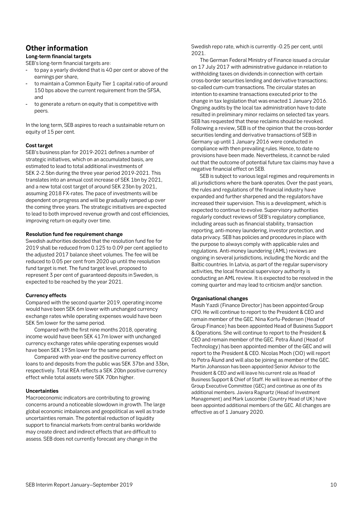### <span id="page-9-0"></span>**Other information**

### **Long-term financial targets**

SEB's long-term financial targets are:

- to pay a yearly dividend that is 40 per cent or above of the earnings per share,
- to maintain a Common Equity Tier 1 capital ratio of around 150 bps above the current requirement from the SFSA, and
- to generate a return on equity that is competitive with peers.

In the long term, SEB aspires to reach a sustainable return on equity of 15 per cent.

### **Cost target**

SEB's business plan for 2019-2021 defines a number of strategic initiatives, which on an accumulated basis, are estimated to lead to total additional investments of SEK 2-2.5bn during the three year period 2019-2021. This translates into an annual cost increase of SEK 1bn by 2021, and a new total cost target of around SEK 23bn by 2021, assuming 2018 FX-rates. The pace of investments will be dependent on progress and will be gradually ramped up over the coming three years. The strategic initiatives are expected to lead to both improved revenue growth and cost efficiencies, improving return on equity over time.

### **Resolution fund fee requirement change**

Swedish authorities decided that the resolution fund fee for 2019 shall be reduced from 0.125 to 0.09 per cent applied to the adjusted 2017 balance sheet volumes. The fee will be reduced to 0.05 per cent from 2020 up until the resolution fund target is met. The fund target level, proposed to represent 3 per cent of guaranteed deposits in Sweden, is expected to be reached by the year 2021.

### **Currency effects**

Compared with the second quarter 2019, operating income would have been SEK 6m lower with unchanged currency exchange rates while operating expenses would have been SEK 5m lower for the same period.

Compared with the first nine months 2018, operating income would have been SEK 417m lower with unchanged currency exchange rates while operating expenses would have been SEK 193m lower for the same period.

Compared with year-end the positive currency effect on loans to and deposits from the public was SEK 37bn and 33bn, respectively. Total REA reflects a SEK 20bn positive currency effect while total assets were SEK 70bn higher.

### **Uncertainties**

Macroeconomic indicators are contributing to growing concerns around a noticeable slowdown in growth. The large global economic imbalances and geopolitical as well as trade uncertainties remain. The potential reduction of liquidity support to financial markets from central banks worldwide may create direct and indirect effects that are difficult to assess. SEB does not currently forecast any change in the

Swedish repo rate, which is currently -0.25 per cent, until 2021.

The German Federal Ministry of Finance issued a circular on 17 July 2017 with administrative guidance in relation to withholding taxes on dividends in connection with certain cross-border securities lending and derivative transactions; so-called cum-cum transactions. The circular states an intention to examine transactions executed prior to the change in tax legislation that was enacted 1 January 2016. Ongoing audits by the local tax administration have to date resulted in preliminary minor reclaims on selected tax years. SEB has requested that these reclaims should be revoked. Following a review, SEB is of the opinion that the cross-border securities lending and derivative transactions of SEB in Germany up until 1 January 2016 were conducted in compliance with then prevailing rules. Hence, to date no provisions have been made. Nevertheless, it cannot be ruled out that the outcome of potential future tax claims may have a negative financial effect on SEB.

SEB is subject to various legal regimes and requirements in all jurisdictions where the bank operates. Over the past years, the rules and regulations of the financial industry have expanded and further sharpened and the regulators have increased their supervision. This is a development, which is expected to continue to evolve. Supervisory authorities regularly conduct reviews of SEB's regulatory compliance, including areas such as financial stability, transaction reporting, anti-money laundering, investor protection, and data privacy. SEB has policies and procedures in place with the purpose to always comply with applicable rules and regulations. Anti-money laundering (AML) reviews are ongoing in several jurisdictions, including the Nordic and the Baltic countries. In Latvia, as part of the regular supervisory activities, the local financial supervisory authority is conducting an AML review. It is expected to be resolved in the coming quarter and may lead to criticism and/or sanction.

### **Organisational changes**

Masih Yazdi (Finance Director) has been appointed Group CFO. He will continue to report to the President & CEO and remain member of the GEC. Nina Korfu-Pedersen (Head of Group Finance) has been appointed Head of Business Support & Operations. She will continue to report to the President & CEO and remain member of the GEC. Petra Ålund (Head of Technology) has been appointed member of the GEC and will report to the President & CEO. Nicolas Moch (CIO) will report to Petra Ålund and will also be joining as member of the GEC. Martin Johansson has been appointed Senior Advisor to the President & CEO and will leave his current role as Head of Business Support & Chief of Staff. He will leave as member of the Group Executive Committee (GEC) and continue as one of its additional members. Javiera Ragnartz (Head of Investment Management) and Mark Luscombe (Country Head of UK) have been appointed additional members of the GEC. All changes are effective as of 1 January 2020.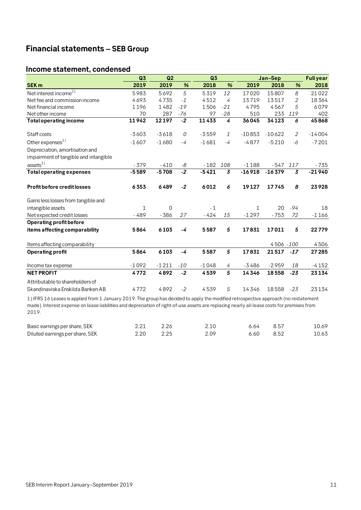### <span id="page-10-0"></span>**Financial statements – SEB Group**

### <span id="page-10-1"></span>**Income statement, condensed**

|                                                                                                                                      | Q3      | Q2             |       | Q3      |                | Jan-Sep  |           |                | <b>Full year</b> |
|--------------------------------------------------------------------------------------------------------------------------------------|---------|----------------|-------|---------|----------------|----------|-----------|----------------|------------------|
| <b>SEK m</b>                                                                                                                         | 2019    | 2019           | %     | 2018    | %              | 2019     | 2018      | %              | 2018             |
| Net interest income $^{1)}$                                                                                                          | 5983    | 5692           | 5     | 5319    | 12             | 17020    | 15807     | 8              | 21022            |
| Net fee and commission income                                                                                                        | 4693    | 4735           | $-1$  | 4512    | 4              | 13719    | 13517     | $\overline{2}$ | 18364            |
| Net financial income                                                                                                                 | 1196    | 1482           | $-19$ | 1506    | $-21$          | 4795     | 4567      | 5              | 6079             |
| Net other income                                                                                                                     | 70      | 287            | -76   | 97      | $-28$          | 510      | 233       | 119            | 402              |
| <b>Total operating income</b>                                                                                                        | 11942   | 12197          | $-2$  | 11433   | 4              | 36045    | 34123     | 6              | 45868            |
| Staff costs                                                                                                                          | $-3603$ | $-3618$        | 0     | $-3559$ | $\mathcal{I}$  | $-10853$ | $-10622$  | 2              | $-14004$         |
| Other expenses <sup>1)</sup>                                                                                                         | $-1607$ | $-1680$        | $-4$  | $-1681$ | $-4$           | $-4877$  | $-5210$   | -6             | $-7201$          |
| Depreciation, amortisation and                                                                                                       |         |                |       |         |                |          |           |                |                  |
| impairment of tangible and intangible                                                                                                |         |                |       |         |                |          |           |                |                  |
| assets <sup>1</sup>                                                                                                                  | $-379$  | $-410$         | -8    | $-182$  | 108            | $-1188$  | $-547$    | 117            | $-735$           |
| <b>Total operating expenses</b>                                                                                                      | $-5589$ | $-5708$        | $-2$  | $-5421$ | $\overline{3}$ | $-16918$ | $-16379$  | 3              | $-21940$         |
| Profit before credit losses                                                                                                          | 6353    | 6489           | $-2$  | 6012    | 6              | 19127    | 17745     | 8              | 23928            |
| Gains less losses from tangible and                                                                                                  |         |                |       |         |                |          |           |                |                  |
| intangible assets                                                                                                                    | 1       | $\overline{0}$ |       | $-1$    |                | 1        | 20        | $-94$          | 18               |
| Net expected credit losses                                                                                                           | $-489$  | $-386$         | 27    | $-424$  | 15             | $-1297$  | $-753$    | 72             | $-1166$          |
| Operating profit before                                                                                                              |         |                |       |         |                |          |           |                |                  |
| items affecting comparability                                                                                                        | 5864    | 6103           | -4    | 5587    | 5              | 17831    | 17011     | 5              | 22779            |
| Items affecting comparability                                                                                                        |         |                |       |         |                |          | 4506 -100 |                | 4506             |
| <b>Operating profit</b>                                                                                                              | 5864    | 6103           | -4    | 5587    | 5              | 17831    | 21517     | $-17$          | 27 285           |
| Income tax expense                                                                                                                   | $-1092$ | $-1211$        | $-10$ | $-1048$ | 4              | $-3486$  | $-2959$   | 18             | $-4152$          |
| <b>NET PROFIT</b>                                                                                                                    | 4772    | 4892           | $-2$  | 4539    | 5              | 14346    | 18558     | $-23$          | 23134            |
| Attributable to shareholders of                                                                                                      |         |                |       |         |                |          |           |                |                  |
| Skandinaviska Enskilda Banken AB                                                                                                     | 4772    | 4892           | $-2$  | 4539    | 5              | 14346    | 18558     | $-23$          | 23134            |
| 1) IFRS 16 Leases is applied from 1 January 2019. The group has decided to apply the modified retrospective approach (no restatement |         |                |       |         |                |          |           |                |                  |

made). Interest expense on lease liabilities and depreciation of right-of-use assets are replacing nearly all lease costs for premises from 2019.

| Basic earnings per share, SEK   |      |      | 6.64 | - 8.57 | 10.69 |
|---------------------------------|------|------|------|--------|-------|
| Diluted earnings per share, SEK | 2.20 | 2.09 | 6.60 | 8.52   | 10.63 |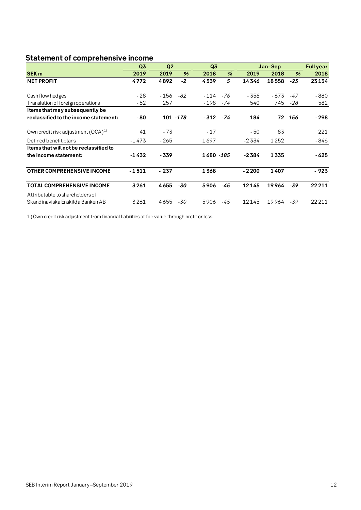<span id="page-11-0"></span>

| <b>Statement of comprehensive income</b> |                      |        |                |            |         |         |        |                  |        |
|------------------------------------------|----------------------|--------|----------------|------------|---------|---------|--------|------------------|--------|
|                                          | Q2<br>Q <sub>3</sub> |        | Q <sub>3</sub> |            | Jan-Sep |         |        | <b>Full year</b> |        |
| SEK <sub>m</sub>                         | 2019                 | 2019   | %              | 2018       | %       | 2019    | 2018   | %                | 2018   |
| <b>NET PROFIT</b>                        | 4772                 | 4892   | $-2$           | 4539       | 5       | 14346   | 18558  | $-23$            | 23134  |
| Cash flow hedges                         | $-28$                | - 156  | -82            | $-114$     | -76     | - 356   | $-673$ | $-47$            | $-880$ |
| Translation of foreign operations        | $-52$                | 257    |                | $-198$     | -74     | 540     | 745    | $-28$            | 582    |
| Items that may subsequently be           |                      |        |                |            |         |         |        |                  |        |
| reclassified to the income statement:    | - 80                 |        | 101 - 178      | $-312$     | -74     | 184     | 72     | 156              | $-298$ |
| Own credit risk adjustment $(OCA)^{1/2}$ | 41                   | - 73   |                | $-17$      |         | - 50    | 83     |                  | 221    |
| Defined benefit plans                    | $-1473$              | $-265$ |                | 1697       |         | -2334   | 1252   |                  | - 846  |
| I tems that will not be reclassified to  |                      |        |                |            |         |         |        |                  |        |
| the income statement:                    | $-1432$              | $-339$ |                | 1680 - 185 |         | $-2384$ | 1335   |                  | - 625  |
| OTHER COMPREHENSIVE INCOME               | $-1511$              | $-237$ |                | 1368       |         | $-2200$ | 1407   |                  | - 923  |
| <b>TOTAL COMPREHENSIVE INCOME</b>        | 3261                 | 4655   | -30            | 5906       | -45     | 12145   | 19964  | $-39$            | 22211  |
| Attributable to shareholders of          |                      |        |                |            |         |         |        |                  |        |
| Skandinaviska Enskilda Banken AB         | 3261                 | 4655   | -30            | 5906       | -45     | 12145   | 19964  | -39              | 22211  |

1) Own credit risk adjustment from financial liabilities at fair value through profit or loss.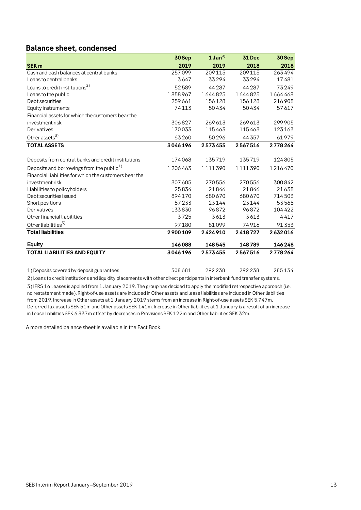### <span id="page-12-0"></span>**Balance sheet, condensed**

|                                                        | 30 Sep  | $1$ Jan <sup>3)</sup> | 31 Dec  | 30 Sep  |
|--------------------------------------------------------|---------|-----------------------|---------|---------|
| <b>SEK m</b>                                           | 2019    | 2019                  | 2018    | 2018    |
| Cash and cash balances at central banks                | 257099  | 209115                | 209 115 | 263494  |
| Loans to central banks                                 | 3647    | 33294                 | 33294   | 17481   |
| Loans to credit institutions <sup>2)</sup>             | 52589   | 44287                 | 44287   | 73249   |
| Loans to the public                                    | 1858967 | 1644825               | 1644825 | 1664468 |
| Debt securities                                        | 259661  | 156128                | 156128  | 216908  |
| Equity instruments                                     | 74113   | 50434                 | 50434   | 57617   |
| Financial assets for which the customers bear the      |         |                       |         |         |
| investment risk                                        | 306827  | 269613                | 269613  | 299905  |
| Derivatives                                            | 170033  | 115463                | 115463  | 123163  |
| Other assets <sup>3)</sup>                             | 63260   | 50296                 | 44357   | 61979   |
| <b>TOTAL ASSETS</b>                                    | 3046196 | 2573455               | 2567516 | 2778264 |
| Deposits from central banks and credit institutions    | 174068  | 135719                | 135719  | 124805  |
| Deposits and borrowings from the public <sup>1)</sup>  | 1206463 | 1111390               | 1111390 | 1216470 |
| Financial liabilities for which the customers bear the |         |                       |         |         |
| investment risk                                        | 307 605 | 270556                | 270556  | 300842  |
| Liabilities to policyholders                           | 25834   | 21846                 | 21846   | 21638   |
| Debt securities issued                                 | 894170  | 680670                | 680 670 | 714503  |
| Short positions                                        | 57233   | 23144                 | 23144   | 53565   |
| Derivatives                                            | 133830  | 96872                 | 96872   | 104422  |
| Other financial liabilities                            | 3725    | 3613                  | 3613    | 4417    |
| Other liabilities <sup>3)</sup>                        | 97180   | 81099                 | 74916   | 91353   |
| <b>Total liabilities</b>                               | 2900109 | 2424910               | 2418727 | 2632016 |
| <b>Equity</b>                                          | 146088  | 148545                | 148789  | 146248  |
| <b>TOTAL LIABILITIES AND EQUITY</b>                    | 3046196 | 2573455               | 2567516 | 2778264 |
| 1) Deposits covered by deposit guarantees              | 308681  | 292238                | 292238  | 285134  |

2) Loans to credit institutions and liquidity placements with other direct participants in interbank fund transfer systems.

3) IFRS 16 Leases is applied from 1 January 2019. The group has decided to apply the modified retrospective approach (i.e. no restatement made). Right-of-use assets are included in Other assets and lease liabilities are included in Other liabilities from 2019. Increase in Other assets at 1 January 2019 stems from an increase in Right-of-use assets SEK 5,747m, Deferred tax assets SEK 51m and Other assets SEK 141m. Increase in Other liabilities at 1 January is a result of an increase in Lease liabilities SEK 6,337m offset by decreases in Provisions SEK 122m and Other liabilities SEK 32m.

A more detailed balance sheet is available in the Fact Book.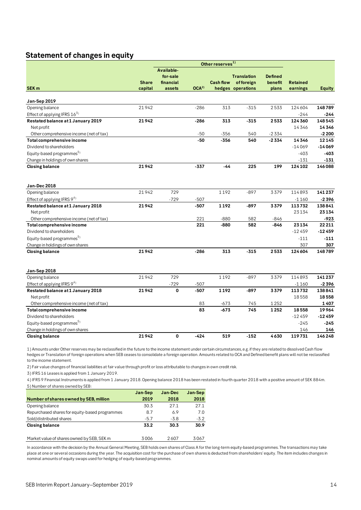### **Statement of changes in equity**

<span id="page-13-0"></span>

|                                         |              |                       |                  | Other reserves <sup>1)</sup> |                                 |                           |                 |               |
|-----------------------------------------|--------------|-----------------------|------------------|------------------------------|---------------------------------|---------------------------|-----------------|---------------|
|                                         |              | Available-            |                  |                              |                                 |                           |                 |               |
|                                         | <b>Share</b> | for-sale<br>financial |                  | <b>Cash flow</b>             | <b>Translation</b><br>offoreign | <b>Defined</b><br>benefit | <b>Retained</b> |               |
| SEK <sub>m</sub>                        | capital      | assets                | OCA <sup>2</sup> |                              | hedges operations               | plans                     | earnings        | <b>Equity</b> |
|                                         |              |                       |                  |                              |                                 |                           |                 |               |
| Jan-Sep 2019                            |              |                       |                  |                              |                                 |                           |                 |               |
| Opening balance                         | 21942        |                       | $-286$           | 313                          | $-315$                          | 2533                      | 124 604         | 148789        |
| Effect of applying IFRS $16^{3}$        |              |                       |                  |                              |                                 |                           | $-244$          | $-244$        |
| Restated balance at 1 January 2019      | 21942        |                       | $-286$           | 313                          | $-315$                          | 2533                      | 124 360         | 148545        |
| Net profit                              |              |                       |                  |                              |                                 |                           | 14346           | 14346         |
| Other comprehensive income (net of tax) |              |                       | -50              | -356                         | 540                             | $-2334$                   |                 | $-2200$       |
| Total comprehensive income              |              |                       | -50              | $-356$                       | 540                             | $-2334$                   | 14346           | 12145         |
| Dividend to shareholders                |              |                       |                  |                              |                                 |                           | $-14069$        | $-14069$      |
| Equity-based programmes <sup>5)</sup>   |              |                       |                  |                              |                                 |                           | $-403$          | $-403$        |
| Change in holdings of own shares        |              |                       |                  |                              |                                 |                           | $-131$          | $-131$        |
| <b>Closing balance</b>                  | 21942        |                       | $-337$           | $-44$                        | 225                             | 199                       | 124 102         | 146088        |
| Jan-Dec 2018                            |              |                       |                  |                              |                                 |                           |                 |               |
| Opening balance                         | 21942        | 729                   |                  | 1192                         | $-897$                          | 3379                      | 114893          | 141237        |
| Effect of applying IFRS $9^{4}$ )       |              | $-729$                | $-507$           |                              |                                 |                           | $-1160$         | $-2396$       |
| Restated balance at 1 January 2018      | 21942        |                       | $-507$           | 1192                         | $-897$                          | 3379                      | 113732          | 138841        |
| Net profit                              |              |                       |                  |                              |                                 |                           | 23134           | 23134         |
| Other comprehensive income (net of tax) |              |                       | 221              | $-880$                       | 582                             | -846                      |                 | $-923$        |
| Total comprehensive income              |              |                       | 221              | $-880$                       | 582                             | $-846$                    | 23134           | 22211         |
| Dividend to shareholders                |              |                       |                  |                              |                                 |                           | $-12459$        | $-12459$      |
| Equity-based programmes <sup>5)</sup>   |              |                       |                  |                              |                                 |                           | $-111$          | $-111$        |
| Change in holdings of own shares        |              |                       |                  |                              |                                 |                           | 307             | 307           |
| <b>Closing balance</b>                  | 21942        |                       | $-286$           | 313                          | $-315$                          | 2533                      | 124 604         | 148789        |
| Jan-Sep 2018                            |              |                       |                  |                              |                                 |                           |                 |               |
| Opening balance                         | 21942        | 729                   |                  | 1192                         | $-897$                          | 3379                      | 114893          | 141237        |
| Effect of applying IFRS 94)             |              | $-729$                | $-507$           |                              |                                 |                           | $-1160$         | $-2396$       |
| Restated balance at 1 January 2018      | 21942        | $\mathbf 0$           | $-507$           | 1192                         | $-897$                          | 3379                      | 113732          | 138841        |
| Net profit                              |              |                       |                  |                              |                                 |                           | 18558           | 18558         |
| Other comprehensive income (net of tax) |              |                       | 83               | $-673$                       | 745                             | 1252                      |                 | 1407          |
| Total comprehensive income              |              |                       | 83               | $-673$                       | 745                             | 1252                      | 18558           | 19964         |
| Dividend to shareholders                |              |                       |                  |                              |                                 |                           | $-12459$        | $-12459$      |
| Equity-based programmes <sup>5)</sup>   |              |                       |                  |                              |                                 |                           | $-245$          | $-245$        |
| Change in holdings of own shares        |              |                       |                  |                              |                                 |                           | 146             | 146           |
| <b>Closing balance</b>                  | 21942        | $\mathbf 0$           | $-424$           | 519                          | $-152$                          | 4630                      | 119731          | 146248        |

1) Amounts under Other reserves may be reclassified in the future to the income statement under certain circumstances, e.g. if they are related to dissolved Cash flow hedges or Translation of foreign operations when SEB ceases to consolidate a foreign operation. Amounts related to OCA and Defined benefit plans will not be reclassified to the income statement.

2) Fair value changes of financial liabilities at fair value through profit or loss attributable to changes in own credit risk.

3) IFRS 16 Leases is applied from 1 January 2019.

5) Number of shares owned by SEB: 4) IFRS 9 Financial Instruments is applied from 1 January 2018. Opening balance 2018 has been restated in fourth quarter 2018 with a positive amount of SEK 884m.

|                                                | Jan-Sep | Jan-Dec | Jan-Sep |
|------------------------------------------------|---------|---------|---------|
| Number of shares owned by SEB, million         | 2019    | 2018    | 2018    |
| Opening balance                                | 30.3    | 271     | 27.1    |
| Repurchased shares for equity-based programmes | 8.7     | 6.9     | 7.0     |
| Sold/distributed shares                        | $-5.7$  | $-3.8$  | $-3.2$  |
| <b>Closing balance</b>                         | 33.2    | 30.3    | 30.9    |
|                                                |         |         |         |
| Market value of shares owned by SEB, SEK m     | 3006    | 2607    | 3067    |

In accordance with the decision by the Annual General Meeting, SEB holds own shares of Class A for the long-term equity-based programmes. The transactions may take place at one or several occasions during the year. The acquisition cost for the purchase of own shares is deducted from shareholders' equity. The item includes changes in nominal amounts of equity swaps used for hedging of equity-based programmes.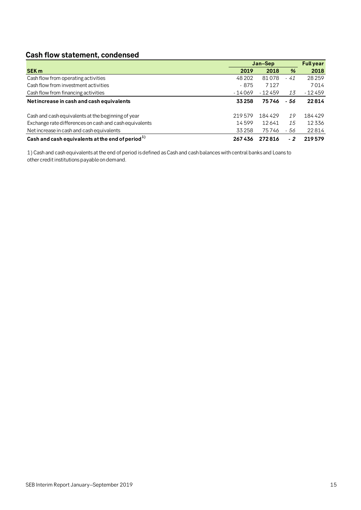## <span id="page-14-0"></span>**Cash flow statement, condensed**

|                                                        | Jan-Sep  | <b>Full year</b> |               |          |
|--------------------------------------------------------|----------|------------------|---------------|----------|
| <b>SEK m</b>                                           | 2019     | 2018             | $\frac{9}{6}$ | 2018     |
| Cash flow from operating activities                    | 48 20 2  | 81078            | - 41          | 28259    |
| Cash flow from investment activities                   | - 875    | 7127             |               | 7014     |
| Cash flow from financing activities                    | $-14069$ | $-12459$         | 13            | $-12459$ |
| Net increase in cash and cash equivalents              | 33258    | 75746            | - 56          | 22814    |
| Cash and cash equivalents at the beginning of year     | 219579   | 184429           | 19            | 184429   |
| Exchange rate differences on cash and cash equivalents | 14599    | 12641            | 15            | 12336    |
| Net increase in cash and cash equivalents              | 33258    | 75746            | - 56          | 22814    |
| Cash and cash equivalents at the end of period $^{1)}$ | 267436   | 272816           | $-2$          | 219579   |

1) Cash and cash equivalents at the end of period is defined as Cash and cash balances with central banks and Loans to other credit institutions payable on demand.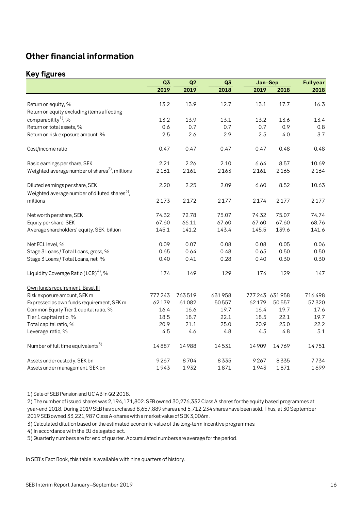## <span id="page-15-0"></span>**Other financial information**

### <span id="page-15-1"></span>**Key figures**

|                                                            | Q <sub>3</sub> | Q2     | Q <sub>3</sub> | Jan-Sep |                 | <b>Full year</b> |
|------------------------------------------------------------|----------------|--------|----------------|---------|-----------------|------------------|
|                                                            | 2019           | 2019   | 2018           | 2019    | 2018            | 2018             |
|                                                            |                |        |                |         |                 |                  |
| Return on equity, %                                        | 13.2           | 13.9   | 12.7           | 13.1    | 17.7            | 16.3             |
| Return on equity excluding items affecting                 |                |        |                |         |                 |                  |
| comparability <sup>1</sup> , %                             | 13.2           | 13.9   | 13.1           | 13.2    | 13.6            | 13.4             |
| Return on total assets, %                                  | 0.6            | 0.7    | 0.7            | 0.7     | 0.9             | 0.8              |
| Return on risk exposure amount, %                          | 2.5            | 2.6    | 2.9            | 2.5     | 4.0             | 3.7              |
| Cost/income ratio                                          | 0.47           | 0.47   | 0.47           | 0.47    | 0.48            | 0.48             |
| Basic earnings per share, SEK                              | 2.21           | 2.26   | 2.10           | 6.64    | 8.57            | 10.69            |
| Weighted average number of shares <sup>2)</sup> , millions | 2161           | 2161   | 2163           | 2161    | 2165            | 2164             |
| Diluted earnings per share, SEK                            | 2.20           | 2.25   | 2.09           | 6.60    | 8.52            | 10.63            |
| Weighted average number of diluted shares $^{3}$ ,         |                |        |                |         |                 |                  |
| millions                                                   | 2173           | 2172   | 2177           | 2174    | 2177            | 2177             |
| Net worth per share, SEK                                   | 74.32          | 72.78  | 75.07          | 74.32   | 75.07           | 74.74            |
| Equity per share, SEK                                      | 67.60          | 66.11  | 67.60          | 67.60   | 67.60           | 68.76            |
| Average shareholders' equity, SEK, billion                 | 145.1          | 141.2  | 143.4          | 145.5   | 139.6           | 141.6            |
| Net ECL level, %                                           | 0.09           | 0.07   | 0.08           | 0.08    | 0.05            | 0.06             |
| Stage 3 Loans / Total Loans, gross, %                      | 0.65           | 0.64   | 0.48           | 0.65    | 0.50            | 0.50             |
| Stage 3 Loans / Total Loans, net, %                        | 0.40           | 0.41   | 0.28           | 0.40    | 0.30            | 0.30             |
| Liquidity Coverage Ratio (LCR) <sup>4</sup> , %            | 174            | 149    | 129            | 174     | 129             | 147              |
| Own funds requirement, Basel III                           |                |        |                |         |                 |                  |
| Risk exposure amount, SEK m                                | 777243         | 763519 | 631958         |         | 777 243 631 958 | 716498           |
| Expressed as own funds requirement, SEK m                  | 62179          | 61082  | 50557          | 62179   | 50557           | 57320            |
| Common Equity Tier 1 capital ratio, %                      | 16.4           | 16.6   | 19.7           | 16.4    | 19.7            | 17.6             |
| Tier 1 capital ratio, %                                    | 18.5           | 18.7   | 22.1           | 18.5    | 22.1            | 19.7             |
| Total capital ratio, %                                     | 20.9           | 21.1   | 25.0           | 20.9    | 25.0            | 22.2             |
| Leverage ratio, %                                          | 4.5            | 4.6    | 4.8            | 4.5     | 4.8             | 5.1              |
| Number of full time equivalents <sup>5)</sup>              | 14887          | 14988  | 14531          | 14909   | 14769           | 14751            |
| Assets under custody, SEK bn                               | 9267           | 8704   | 8335           | 9267    | 8335            | 7734             |
| Assets under management, SEK bn                            | 1943           | 1932   | 1871           | 1943    | 1871            | 1699             |

1) Sale of SEB Pension and UC AB in Q2 2018.

2) The number of issued shares was 2,194,171,802. SEB owned 30,276,332 Class A shares for the equity based programmes at year-end 2018. During 2019 SEB has purchased 8,657,889 shares and 5,712,234 shares have been sold. Thus, at 30 September 2019 SEB owned 33,221,987 Class A-shares with a market value of SEK 3,006m.

3) Calculated dilution based on the estimated economic value of the long-term incentive programmes.

4) In accordance with the EU delegated act.

5) Quarterly numbers are for end of quarter. Accumulated numbers are average for the period.

In SEB's Fact Book, this table is available with nine quarters of history.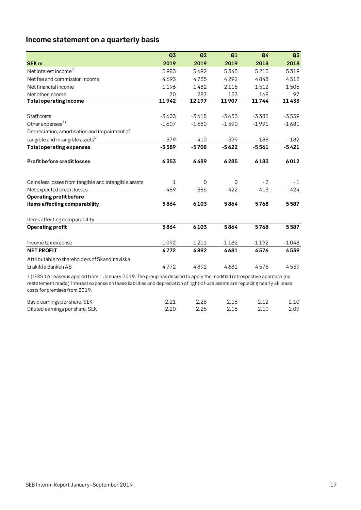## <span id="page-16-0"></span>**Income statement on a quarterly basis**

|                                                                                                                                                                                                                                                             | Q3      | Q2       | Q1       | Q <sub>4</sub> | Q3      |
|-------------------------------------------------------------------------------------------------------------------------------------------------------------------------------------------------------------------------------------------------------------|---------|----------|----------|----------------|---------|
| <b>SEK m</b>                                                                                                                                                                                                                                                | 2019    | 2019     | 2019     | 2018           | 2018    |
| Net interest income <sup>1)</sup>                                                                                                                                                                                                                           | 5983    | 5692     | 5345     | 5215           | 5319    |
| Net fee and commission income                                                                                                                                                                                                                               | 4693    | 4735     | 4292     | 4848           | 4512    |
| Net financial income                                                                                                                                                                                                                                        | 1196    | 1482     | 2118     | 1512           | 1506    |
| Net other income                                                                                                                                                                                                                                            | 70      | 287      | 153      | 169            | 97      |
| <b>Total operating income</b>                                                                                                                                                                                                                               | 11942   | 12197    | 11907    | 11744          | 11433   |
|                                                                                                                                                                                                                                                             |         |          |          |                |         |
| Staff costs                                                                                                                                                                                                                                                 | $-3603$ | $-3618$  | $-3633$  | $-3382$        | $-3559$ |
| Other expenses <sup>1)</sup>                                                                                                                                                                                                                                | $-1607$ | $-1680$  | $-1590$  | $-1991$        | $-1681$ |
| Depreciation, amortisation and impairment of                                                                                                                                                                                                                |         |          |          |                |         |
| tangible and intangible assets <sup>1)</sup>                                                                                                                                                                                                                | $-379$  | $-410$   | $-399$   | $-188$         | $-182$  |
| <b>Total operating expenses</b>                                                                                                                                                                                                                             | $-5589$ | $-5708$  | $-5622$  | $-5561$        | $-5421$ |
| <b>Profit before credit losses</b>                                                                                                                                                                                                                          | 6353    | 6489     | 6285     | 6183           | 6012    |
| Gains less losses from tangible and intangible assets                                                                                                                                                                                                       | 1       | $\Omega$ | $\Omega$ | $-2$           | $-1$    |
| Net expected credit losses                                                                                                                                                                                                                                  | - 489   | $-386$   | $-422$   | $-413$         | - 424   |
| Operating profit before                                                                                                                                                                                                                                     |         |          |          |                |         |
| items affecting comparability                                                                                                                                                                                                                               | 5864    | 6103     | 5864     | 5768           | 5587    |
| Items affecting comparability                                                                                                                                                                                                                               |         |          |          |                |         |
| <b>Operating profit</b>                                                                                                                                                                                                                                     | 5864    | 6103     | 5864     | 5768           | 5587    |
| Income tax expense                                                                                                                                                                                                                                          | $-1092$ | $-1211$  | $-1182$  | $-1192$        | $-1048$ |
| <b>NET PROFIT</b>                                                                                                                                                                                                                                           | 4772    | 4892     | 4681     | 4576           | 4539    |
| Attributable to shareholders of Skandinaviska<br>Enskilda Banken AB                                                                                                                                                                                         | 4772    | 4892     | 4681     | 4576           | 4539    |
|                                                                                                                                                                                                                                                             |         |          |          |                |         |
| 1) IFRS 16 Leases is applied from 1 January 2019. The group has decided to apply the modified retrospective approach (no<br>restatement made). Interest expense on lease liabilities and depreciation of right-of-use assets are replacing nearly all lease |         |          |          |                |         |

costs for premises from 2019.

| Basic earnings per share, SEK   | 2.26 | 2.16 | 2.12 | 2.10 |
|---------------------------------|------|------|------|------|
| Diluted earnings per share, SEK | 2.25 | 2.15 | 2.10 | 2.09 |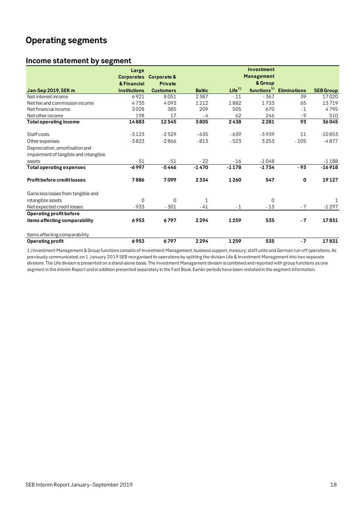## <span id="page-17-0"></span>**Operating segments**

### <span id="page-17-1"></span>**Income statement by segment**

|                                                                         | Large               |                  |               |                   | Investment        |                     |                  |
|-------------------------------------------------------------------------|---------------------|------------------|---------------|-------------------|-------------------|---------------------|------------------|
|                                                                         | <b>Corporates</b>   | Corporate &      |               |                   | <b>Management</b> |                     |                  |
|                                                                         | & Financial         | Private          |               |                   | & Group           |                     |                  |
| Jan-Sep 2019, SEK m                                                     | <b>Institutions</b> | <b>Customers</b> | <b>Baltic</b> | Life <sup>1</sup> | functions $^{1)}$ | <b>Eliminations</b> | <b>SEB Group</b> |
| Net interest income                                                     | 6921                | 8051             | 2387          | $-11$             | $-367$            | 39                  | 17020            |
| Net fee and commission income                                           | 4735                | 4093             | 1212          | 1882              | 1733              | 65                  | 13719            |
| Net financial income                                                    | 3028                | 385              | 209           | 505               | 670               | $-1$                | 4795             |
| Net other income                                                        | 198                 | 17               | - 4           | 62                | 246               | $-9$                | 510              |
| <b>Total operating income</b>                                           | 14883               | 12545            | 3805          | 2438              | 2281              | 93                  | 36045            |
| Staff costs                                                             | $-3123$             | $-2529$          | $-635$        | $-639$            | $-3939$           | 11                  | $-10853$         |
| Other expenses                                                          | $-3823$             | $-2866$          | $-813$        | $-523$            | 3253              | $-105$              | $-4877$          |
| Depreciation, amortisation and<br>impairment of tangible and intangible |                     |                  |               |                   |                   |                     |                  |
| assets                                                                  | $-51$               | $-51$            | $-22$         | $-16$             | $-1048$           |                     | $-1188$          |
| <b>Total operating expenses</b>                                         | $-6997$             | $-5446$          | $-1470$       | $-1178$           | $-1734$           | $-93$               | $-16918$         |
| <b>Profit before credit losses</b>                                      | 7886                | 7099             | 2334          | 1260              | 547               | 0                   | 19127            |
| Gains less losses from tangible and                                     |                     |                  |               |                   |                   |                     |                  |
| intangible assets                                                       | $\Omega$            | $\mathbf 0$      | 1             |                   | 0                 |                     |                  |
| Net expected credit losses                                              | $-933$              | $-301$           | - 41          | $-1$              | $-13$             | $-7$                | $-1297$          |
| Operating profit before                                                 |                     |                  |               |                   |                   |                     |                  |
| items affecting comparability                                           | 6953                | 6797             | 2294          | 1259              | 535               | $-7$                | 17831            |
| Items affecting comparability                                           |                     |                  |               |                   |                   |                     |                  |
| <b>Operating profit</b>                                                 | 6953                | 6797             | 2294          | 1259              | 535               | $-7$                | 17831            |

1) Investment Management & Group functions consists of Investment Management, business support, treasury, staff units and German run-off operations. As previously communicated, on 1 January 2019 SEB reorganised its operations by splitting the division Life & Investment Management into two separate divisions. The Life division is presented on a stand-alone basis. The Investment Management division is combined and reported with group functions as one segment in the interim Report and in addition presented separately in the Fact Book. Earlier periods have been restated in the segment information.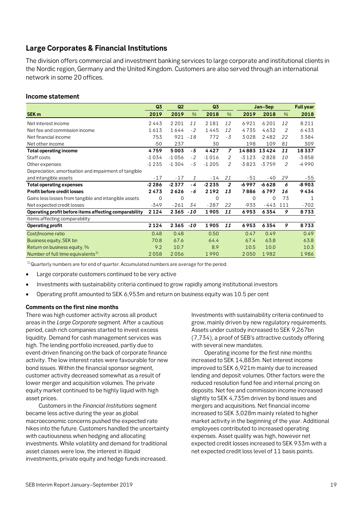### <span id="page-18-0"></span>**Large Corporates & Financial Institutions**

The division offers commercial and investment banking services to large corporate and institutional clients in the Nordic region, Germany and the United Kingdom. Customers are also served through an international network in some 20 offices.

### **Income statement**

|                                                       | Q3      | Q <sub>2</sub> |               | Q3      | Jan-Sep        |          | <b>Full year</b> |                |              |
|-------------------------------------------------------|---------|----------------|---------------|---------|----------------|----------|------------------|----------------|--------------|
| SEK <sub>m</sub>                                      | 2019    | 2019           | $\frac{1}{2}$ | 2018    | $\frac{1}{2}$  | 2019     | 2018             | $\frac{1}{2}$  | 2018         |
| Net interest income                                   | 2443    | 2 2 0 1        | 11            | 2181    | 12             | 6921     | 6201             | 12             | 8211         |
| Net fee and commission income                         | 1613    | 1644           | $-2$          | 1445    | 12             | 4735     | 4632             | $\overline{2}$ | 6433         |
| Net financial income                                  | 753     | 921            | $-18$         | 772     | $-3$           | 3028     | 2482             | 22             | 3384         |
| Net other income                                      | $-50$   | 237            |               | 30      |                | 198      | 109              | 81             | 309          |
| <b>Total operating income</b>                         | 4759    | 5003           | - 5           | 4427    | $\overline{z}$ | 14883    | 13424            | 11             | 18337        |
| Staff costs                                           | $-1034$ | $-1056$        | $-2$          | $-1016$ | 2              | $-3123$  | $-2828$          | 10             | $-3858$      |
| Other expenses                                        | $-1235$ | $-1304$        | $-5$          | $-1205$ | 2              | $-3823$  | $-3759$          | 2              | $-4990$      |
| Depreciation, amortisation and impairment of tangible |         |                |               |         |                |          |                  |                |              |
| and intangible assets                                 | $-17$   | $-17$          | 1             | $-14$   | 21             | $-51$    | $-40$            | 29             | $-55$        |
| <b>Total operating expenses</b>                       | $-2286$ | $-2377$        | - 4           | $-2235$ | 2              | $-6997$  | $-6628$          | 6              | $-8903$      |
| <b>Profit before credit losses</b>                    | 2473    | 2626           | - 6           | 2192    | 13             | 7886     | 6797             | 16             | 9434         |
| Gains less losses from tangible and intangible assets | 0       | 0              |               | 0       |                | $\Omega$ | 0                | 73             | $\mathbf{1}$ |
| Net expected credit losses                            | $-349$  | $-261$         | 34            | $-287$  | 22             | $-933$   | -443             | 111            | $-702$       |
| Operating profit before items affecting comparability | 2124    | 2365           | $-10$         | 1905    | 11             | 6953     | 6354             | 9              | 8733         |
| Items affecting comparability                         |         |                |               |         |                |          |                  |                |              |
| <b>Operating profit</b>                               | 2124    | 2365           | $-10$         | 1905    | 11             | 6953     | 6354             | 9              | 8733         |
| Cost/Income ratio                                     | 0.48    | 0.48           |               | 0.50    |                | 0.47     | 0.49             |                | 0.49         |
| Business equity, SEK bn                               | 70.8    | 67.6           |               | 64.4    |                | 67.4     | 63.8             |                | 63.8         |
| Return on business equity, %                          | 9.2     | 10.7           |               | 8.9     |                | 10.5     | 10.0             |                | 10.3         |
| Number of full time equivalents <sup>1)</sup>         | 2058    | 2056           |               | 1990    |                | 2050     | 1982             |                | 1986         |

 $1)$  Quarterly numbers are for end of quarter. Accumulated numbers are average for the period.

- Large corporate customers continued to be very active
- Investments with sustainability criteria continued to grow rapidly among institutional investors
- Operating profit amounted to SEK 6,953m and return on business equity was 10.5 per cent

### **Comments on the first nine months**

There was high customer activity across all product areas in the *Large Corporate* segment*.* After a cautious period, cash rich companies started to invest excess liquidity. Demand for cash management services was high. The lending portfolio increased, partly due to event-driven financing on the back of corporate finance activity. The low interest rates were favourable for new bond issues. Within the financial sponsor segment, customer activity decreased somewhat as a result of lower merger and acquisition volumes. The private equity market continued to be highly liquid with high asset prices.

Customers in the *Financial Institutions* segment became less active during the year as global macroeconomic concerns pushed the expected rate hikes into the future. Customers handled the uncertainty with cautiousness when hedging and allocating investments. While volatility and demand for traditional asset classes were low, the interest in illiquid investments, private equity and hedge funds increased.

Investments with sustainability criteria continued to grow, mainly driven by new regulatory requirements. Assets under custody increased to SEK 9,267bn (7,734), a proof of SEB's attractive custody offering with several new mandates.

Operating income for the first nine months increased to SEK 14,883m. Net interest income improved to SEK 6,921m mainly due to increased lending and deposit volumes. Other factors were the reduced resolution fund fee and internal pricing on deposits. Net fee and commission income increased slightly to SEK 4,735m driven by bond issues and mergers and acquisitions. Net financial income increased to SEK 3,028m mainly related to higher market activity in the beginning of the year. Additional employees contributed to increased operating expenses. Asset quality was high, however net expected credit losses increased to SEK 933m with a net expected credit loss level of 11 basis points.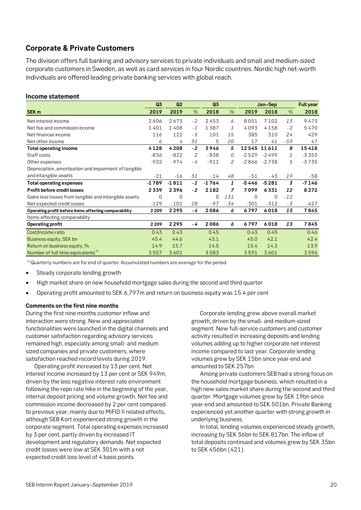### <span id="page-19-0"></span>**Corporate & Private Customers**

The division offers full banking and advisory services to private individuals and small and medium-sized corporate customers in Sweden, as well as card services in four Nordic countries. Nordic high net-worth individuals are offered leading private banking services with global reach.

### **Income statement**

|                                                       | Q <sub>3</sub> | Q2      |               | Q3      |               |         | Jan-Sep |                | <b>Full year</b> |
|-------------------------------------------------------|----------------|---------|---------------|---------|---------------|---------|---------|----------------|------------------|
| SEK <sub>m</sub>                                      | 2019           | 2019    | $\frac{0}{0}$ | 2018    | $\frac{9}{6}$ | 2019    | 2018    | $\frac{9}{6}$  | 2018             |
| Net interest income                                   | 2606           | 2673    | $-2$          | 2453    | 6             | 8051    | 7102    | 13             | 9473             |
| Net fee and commission income                         | 1401           | 1408    | $-1$          | 1387    | 1             | 4093    | 4158    | $-2$           | 5470             |
| Net financial income                                  | 116            | 122     | - 5           | 101     | 15            | 385     | 310     | 24             | 429              |
| Net other income                                      | 6              | 4       | 31            | 5       | 20            | 17      | 41      | -59            | 47               |
| <b>Total operating income</b>                         | 4128           | 4208    | $-2$          | 3946    | 5             | 12545   | 11611   | 8              | 15418            |
| Staff costs                                           | $-836$         | $-822$  | 2             | $-838$  | 0             | $-2529$ | $-2499$ | 1              | $-3353$          |
| Other expenses                                        | $-932$         | $-974$  | - 4           | $-911$  | 2             | $-2866$ | $-2738$ | 5              | $-3735$          |
| Depreciation, amortisation and impairment of tangible |                |         |               |         |               |         |         |                |                  |
| and intangible assets                                 | $-21$          | $-16$   | 31            | $-14$   | 48            | -51     | -43     | 19             | - 58             |
| <b>Total operating expenses</b>                       | -1789          | $-1811$ | $-1$          | $-1764$ | 1             | $-5446$ | $-5281$ | $\overline{3}$ | $-7146$          |
| <b>Profit before credit losses</b>                    | 2339           | 2396    | $-2$          | 2182    | 7             | 7099    | 6331    | 12             | 8272             |
| Gains less losses from tangible and intangible assets | 0              | 0       |               | 0       | 131           | 0       | 0       | $-12$          |                  |
| Net expected credit losses                            | $-129$         | $-101$  | 28            | $-97$   | 34            | $-301$  | $-312$  | - 3            | $-427$           |
| Operating profit before items affecting comparability | 2 2 0 9        | 2295    | - 4           | 2086    | 6             | 6797    | 6018    | 13             | 7845             |
| Items affecting comparability                         |                |         |               |         |               |         |         |                |                  |
| <b>Operating profit</b>                               | 2 2 0 9        | 2295    | - 4           | 2086    | 6             | 6797    | 6018    | 13             | 7845             |
| Cost/Income ratio                                     | 0.43           | 0.43    |               | 0.45    |               | 0.43    | 0.45    |                | 0.46             |
| Business equity, SEK bn                               | 45.4           | 44.6    |               | 43.1    |               | 45.0    | 42.1    |                | 42.4             |
| Return on business equity, %                          | 14.9           | 15.7    |               | 14.5    |               | 15.4    | 14.3    |                | 13.9             |
| Number of full time equivalents <sup>1)</sup>         | 3507           | 3601    |               | 3583    |               | 3591    | 3601    |                | 3596             |

 $1)$  Quarterly numbers are for end of quarter. Accumulated numbers are average for the period.

- Steady corporate lending growth
- High market share on new household mortgage sales during the second and third quarter
- Operating profit amounted to SEK 6,797m and return on business equity was 15.4 per cent

### **Comments on the first nine months**

During the first nine months customer inflow and interaction were strong. New and appreciated functionalities were launched in the digital channels and customer satisfaction regarding advisory services remained high, especially among small- and medium sized companies and private customers, where satisfaction reached record levels during 2019.

Operating profit increased by 13 per cent. Net interest income increased by 13 per cent or SEK 949m, driven by the less negative interest rate environment following the repo rate hike in the beginning of the year, internal deposit pricing and volume growth. Net fee and commission income decreased by 2 per cent compared to previous year, mainly due to MiFID II related effects, although SEB Kort experienced strong growth in the corporate segment. Total operating expenses increased by 3 per cent, partly driven by increased IT development and regulatory demands. Net expected credit losses were low at SEK 301m with a net expected credit loss level of 4 basis points.

Corporate lending grew above overall market growth, driven by the small- and medium-sized segment. New full-service customers and customer activity resulted in increasing deposits and lending volumes adding up to higher corporate net interest income compared to last year. Corporate lending volumes grew by SEK 15bn since year-end and amounted to SEK 257bn.

Among private customers SEB had a strong focus on the household mortgage business, which resulted in a high new sales market share during the second and third quarter. Mortgage volumes grew by SEK 19bn since year-end and amounted to SEK 501bn. Private Banking experienced yet another quarter with strong growth in underlying business.

In total, lending volumes experienced steady growth, increasing by SEK 36bn to SEK 817bn. The inflow of total deposits continued and volumes grew by SEK 35bn to SEK 456bn (421).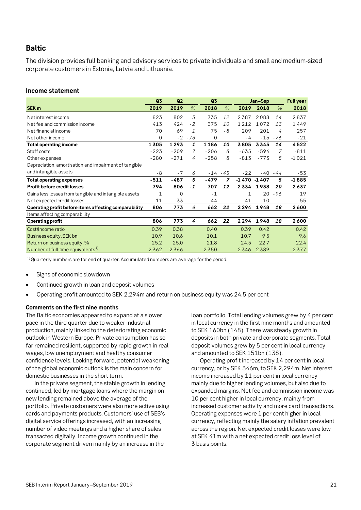### <span id="page-20-0"></span>**Baltic**

The division provides full banking and advisory services to private individuals and small and medium-sized corporate customers in Estonia, Latvia and Lithuania.

### **Income statement**

|                                                       | Q3           | Q <sub>2</sub> |      | Q3          |                |         | Jan-Sep |      | <b>Full year</b> |
|-------------------------------------------------------|--------------|----------------|------|-------------|----------------|---------|---------|------|------------------|
| SEK <sub>m</sub>                                      | 2019         | 2019           | $\%$ | 2018        | $\%$           | 2019    | 2018    | $\%$ | 2018             |
| Net interest income                                   | 823          | 802            | 3    | 735         | 12             | 2387    | 2088    | 14   | 2837             |
| Net fee and commission income                         | 413          | 424            | $-2$ | 375         | 10             | 1212    | 1072    | 13   | 1449             |
| Net financial income                                  | 70           | 69             | 1    | 75          | - 8            | 209     | 201     | 4    | 257              |
| Net other income                                      | $\Omega$     | $-2$           | - 76 | $\mathbf 0$ |                | - 4     | $-15$   | - 76 | $-21$            |
| <b>Total operating income</b>                         | 1305         | 1293           | 1    | 1186        | 10             | 3805    | 3345    | 14   | 4522             |
| Staff costs                                           | $-223$       | $-209$         | 7    | $-206$      | 8              | $-635$  | $-594$  | 7    | $-811$           |
| Other expenses                                        | $-280$       | $-271$         | 4    | $-258$      | 8              | $-813$  | $-773$  | 5    | $-1021$          |
| Depreciation, amortisation and impairment of tangible |              |                |      |             |                |         |         |      |                  |
| and intangible assets                                 | - 8          | $-7$           | 6    | $-14$       | $-45$          | $-22$   | $-40$   | -44  | $-53$            |
| <b>Total operating expenses</b>                       | $-511$       | $-487$         | 5    | $-479$      | $\overline{z}$ | $-1470$ | $-1407$ | 5    | $-1885$          |
| <b>Profit before credit losses</b>                    | 794          | 806            | $-1$ | 707         | 12             | 2334    | 1938    | 20   | 2637             |
| Gains less losses from tangible and intangible assets | $\mathbf{1}$ | $\Omega$       |      | $-1$        |                | 1       | 20      | -96  | 19               |
| Net expected credit losses                            | 11           | $-33$          |      | -44         |                | -41     | $-10$   |      | $-55$            |
| Operating profit before items affecting comparability | 806          | 773            | 4    | 662         | 22             | 2294    | 1948    | 18   | 2600             |
| Items affecting comparability                         |              |                |      |             |                |         |         |      |                  |
| <b>Operating profit</b>                               | 806          | 773            | 4    | 662         | 22             | 2294    | 1948    | 18   | 2600             |
| Cost/Income ratio                                     | 0.39         | 0.38           |      | 0.40        |                | 0.39    | 0.42    |      | 0.42             |
| Business equity, SEK bn                               | 10.9         | 10.6           |      | 10.1        |                | 10.7    | 9.5     |      | 9.6              |
| Return on business equity, %                          | 25.2         | 25.0           |      | 21.8        |                | 24.5    | 22.7    |      | 22.4             |
| Number of full time equivalents <sup>1)</sup>         | 2362         | 2366           |      | 2350        |                | 2346    | 2389    |      | 2377             |

 $1)$ Quarterly numbers are for end of quarter. Accumulated numbers are average for the period.

- Signs of economic slowdown
- Continued growth in loan and deposit volumes
- Operating profit amounted to SEK 2,294m and return on business equity was 24.5 per cent

### **Comments on the first nine months**

The Baltic economies appeared to expand at a slower pace in the third quarter due to weaker industrial production, mainly linked to the deteriorating economic outlook in Western Europe. Private consumption has so far remained resilient, supported by rapid growth in real wages, low unemployment and healthy consumer confidence levels. Looking forward, potential weakening of the global economic outlook is the main concern for domestic businesses in the short term.

In the private segment, the stable growth in lending continued, led by mortgage loans where the margin on new lending remained above the average of the portfolio. Private customers were also more active using cards and payments products. Customers' use of SEB's digital service offerings increased, with an increasing number of video meetings and a higher share of sales transacted digitally. Income growth continued in the corporate segment driven mainly by an increase in the

loan portfolio. Total lending volumes grew by 4 per cent in local currency in the first nine months and amounted to SEK 160bn (148). There was steady growth in deposits in both private and corporate segments. Total deposit volumes grew by 5 per cent in local currency and amounted to SEK 151bn (138).

Operating profit increased by 14 per cent in local currency, or by SEK 346m, to SEK 2,294m. Net interest income increased by 11 per cent in local currency mainly due to higher lending volumes, but also due to expanded margins. Net fee and commission income was 10 per cent higher in local currency, mainly from increased customer activity and more card transactions. Operating expenses were 1 per cent higher in local currency, reflecting mainly the salary inflation prevalent across the region. Net expected credit losses were low at SEK 41m with a net expected credit loss level of 3 basis points.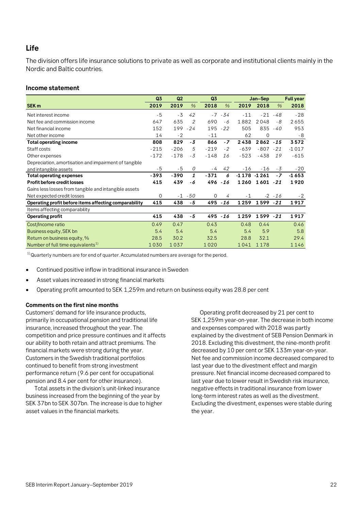### <span id="page-21-0"></span>**Life**

The division offers life insurance solutions to private as well as corporate and institutional clients mainly in the Nordic and Baltic countries.

### **Income statement**

|                                                       | Q <sub>3</sub> | Q2     |       | Q <sub>3</sub> |       |                | Jan-Sep     |           | <b>Full year</b> |
|-------------------------------------------------------|----------------|--------|-------|----------------|-------|----------------|-------------|-----------|------------------|
| SEK <sub>m</sub>                                      | 2019           | 2019   | $\%$  | 2018           | $\%$  | 2019           | 2018        | $\%$      | 2018             |
| Net interest income                                   | $-5$           | $-3$   | 42    | $-7$           | - 34  | $-11$          | $-21$       | $-48$     | $-28$            |
| Net fee and commission income                         | 647            | 635    | 2     | 690            | - 6   | 1882           | 2048        | - 8       | 2655             |
| Net financial income                                  | 152            | 199    | $-24$ | 195            | $-22$ | 505            | 835         | -40       | 953              |
| Net other income                                      | 14             | $-2$   |       | $-11$          |       | 62             | $\mathbf 0$ |           | - 8              |
| <b>Total operating income</b>                         | 808            | 829    | $-3$  | 866            | $-7$  | 2438           | $2862 - 15$ |           | 3572             |
| Staff costs                                           | $-215$         | $-206$ | 5     | $-219$         | $-2$  | $-639$         | $-807$      | $-21$     | $-1017$          |
| Other expenses                                        | $-172$         | $-178$ | $-3$  | $-148$         | 16    | $-523$         | $-438$      | 19        | $-615$           |
| Depreciation, amortisation and impairment of tangible |                |        |       |                |       |                |             |           |                  |
| and intangible assets                                 | - 5            | $-5$   | 0     | - 4            | 42    | $-16$          | $-16$       | - 3       | $-20$            |
| <b>Total operating expenses</b>                       | -393           | -390   | 1     | $-371$         | 6     | $-1178 - 1261$ |             | $-7$      | $-1653$          |
| Profit before credit losses                           | 415            | 439    | - 6   | 496            | $-16$ | 1260           | 1601        | $-21$     | 1920             |
| Gains less losses from tangible and intangible assets |                |        |       |                |       |                |             |           |                  |
| Net expected credit losses                            | $\Omega$       | $-1$   | -50   | $\mathbf 0$    | 4     | $-1$           |             | $-2 - 16$ | $-2$             |
| Operating profit before items affecting comparability | 415            | 438    | - 5   | 495            | $-16$ | 1259           | 1599        | $-21$     | 1917             |
| Items affecting comparability                         |                |        |       |                |       |                |             |           |                  |
| Operating profit                                      | 415            | 438    | - 5   | 495            | $-16$ | 1259           | 1599        | $-21$     | 1917             |
| Cost/Income ratio                                     | 0.49           | 0.47   |       | 0.43           |       | 0.48           | 0.44        |           | 0.46             |
| Business equity, SEK bn                               | 5.4            | 5.4    |       | 5.4            |       | 5.4            | 5.9         |           | 5.8              |
| Return on business equity, %                          | 28.5           | 30.2   |       | 32.5           |       | 28.8           | 32.1        |           | 29.4             |
| Number of full time equivalents <sup>1)</sup>         | 1030           | 1037   |       | 1020           |       | 1041           | 1178        |           | 1146             |

 $1)$ Quarterly numbers are for end of quarter. Accumulated numbers are average for the period.

- Continued positive inflow in traditional insurance in Sweden
- Asset values increased in strong financial markets
- Operating profit amounted to SEK 1,259m and return on business equity was 28.8 per cent

### **Comments on the first nine months**

Customers' demand for life insurance products, primarily in occupational pension and traditional life insurance, increased throughout the year. The competition and price pressure continues and it affects our ability to both retain and attract premiums. The financial markets were strong during the year. Customers in the Swedish traditional portfolios continued to benefit from strong investment performance return (9.6 per cent for occupational pension and 8.4 per cent for other insurance).

Total assets in the division's unit-linked insurance business increased from the beginning of the year by SEK 37bn to SEK 307bn. The increase is due to higher asset values in the financial markets.

Operating profit decreased by 21 per cent to SEK 1,259m year-on-year. The decrease in both income and expenses compared with 2018 was partly explained by the divestment of SEB Pension Denmark in 2018. Excluding this divestment, the nine-month profit decreased by 10 per cent or SEK 133m year-on-year. Net fee and commission income decreased compared to last year due to the divestment effect and margin pressure. Net financial income decreased compared to last year due to lower result in Swedish risk insurance, negative effects in traditional insurance from lower long-term interest rates as well as the divestment. Excluding the divestment, expenses were stable during the year.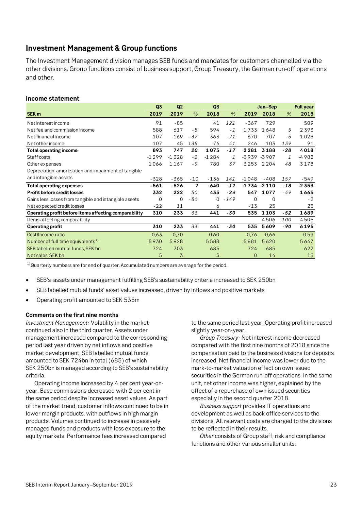### <span id="page-22-0"></span>**Investment Management & Group functions**

The Investment Management division manages SEB funds and mandates for customers channelled via the other divisions. Group functions consist of business support, Group Treasury, the German run-off operations and other.

### **Income statement**

|                                                       | Q3       | Q2      |       | Q3       |        |                | Jan-Sep  |        | <b>Full year</b> |
|-------------------------------------------------------|----------|---------|-------|----------|--------|----------------|----------|--------|------------------|
| SEK <sub>m</sub>                                      | 2019     | 2019    | $\%$  | 2018     | $\%$   | 2019           | 2018     | $\%$   | 2018             |
| Net interest income                                   | 91       | $-85$   |       | 41       | 121    | $-367$         | 729      |        | 509              |
| Net fee and commission income                         | 588      | 617     | $-5$  | 594      | $-1$   | 1733           | 1648     | 5      | 2393             |
| Net financial income                                  | 107      | 169     | $-37$ | 363      | $-71$  | 670            | 707      | - 5    | 1026             |
| Net other income                                      | 107      | 45      | 135   | 76       | 41     | 246            | 103      | 139    | 91               |
| <b>Total operating income</b>                         | 893      | 747     | 20    | 1075     | $-17$  | 2281           | 3188     | $-28$  | 4018             |
| Staff costs                                           | $-1299$  | $-1328$ | $-2$  | $-1284$  | 1      | $-3939$        | $-3907$  | 1      | $-4982$          |
| Other expenses                                        | 1066     | 1167    | $-9$  | 780      | 37     | 3253           | 2 2 0 4  | 48     | 3178             |
| Depreciation, amortisation and impairment of tangible |          |         |       |          |        |                |          |        |                  |
| and intangible assets                                 | $-328$   | -365    | $-10$ | $-136$   | 141    | $-1048$        | $-408$   | 157    | $-549$           |
| <b>Total operating expenses</b>                       | $-561$   | $-526$  | 7     | $-640$   | $-12$  | $-1734 - 2110$ |          | $-18$  | $-2353$          |
| Profit before credit losses                           | 332      | 222     | 50    | 435      | $-24$  | 547            | 1077     | $-49$  | 1665             |
| Gains less losses from tangible and intangible assets | $\Omega$ | 0       | - 86  | $\Omega$ | $-149$ | $\Omega$       | $\Omega$ |        | $-2$             |
| Net expected credit losses                            | $-22$    | 11      |       | 6        |        | $-13$          | 25       |        | 25               |
| Operating profit before items affecting comparability | 310      | 233     | 33    | 441      | -30    | 535            | 1103     | -52    | 1689             |
| Items affecting comparability                         |          |         |       |          |        |                | 4506     | $-100$ | 4506             |
| <b>Operating profit</b>                               | 310      | 233     | 33    | 441      | $-30$  | 535            | 5609     | -90    | 6195             |
| Cost/Income ratio                                     | 0.63     | 0,70    |       | 0.60     |        | 0,76           | 0,66     |        | 0,59             |
| Number of full time equivalents <sup>1)</sup>         | 5930     | 5928    |       | 5588     |        | 5881           | 5620     |        | 5647             |
| SEB labelled mutual funds, SEK bn                     | 724      | 703     |       | 685      |        | 724            | 685      |        | 622              |
| Net sales, SEK bn                                     | 5        | 3       |       | 3        |        | $\Omega$       | 14       |        | 15               |
| $11 -$                                                |          |         |       |          |        |                |          |        |                  |

 $1)$ Quarterly numbers are for end of quarter. Accumulated numbers are average for the period.

- SEB's assets under management fulfilling SEB's sustainability criteria increased to SEK 250bn
- SEB labelled mutual funds' asset values increased, driven by inflows and positive markets
- Operating profit amounted to SEK 535m

### **Comments on the first nine months**

*Investment Management*: Volatility in the market continued also in the third quarter. Assets under management increased compared to the corresponding period last year driven by net inflows and positive market development. SEB labelled mutual funds amounted to SEK 724bn in total (685) of which SEK 250bn is managed according to SEB's sustainability criteria.

Operating income increased by 4 per cent year-onyear. Base commissions decreased with 2 per cent in the same period despite increased asset values. As part of the market trend, customer inflows continued to be in lower margin products, with outflows in high margin products. Volumes continued to increase in passively managed funds and products with less exposure to the equity markets. Performance fees increased compared

to the same period last year. Operating profit increased slightly year-on-year.

*Group Treasury*: Net interest income decreased compared with the first nine months of 2018 since the compensation paid to the business divisions for deposits increased. Net financial income was lower due to the mark-to-market valuation effect on own issued securities in the German run-off operations. In the same unit, net other income was higher, explained by the effect of a repurchase of own issued securities especially in the second quarter 2018.

*Business support* provides IT operations and development as well as back office services to the divisions. All relevant costs are charged to the divisions to be reflected in their results.

*Other* consists of Group staff, risk and compliance functions and other various smaller units.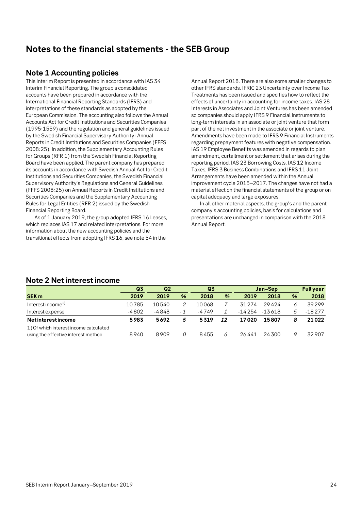## <span id="page-23-0"></span>**Notes to the financial statements - the SEB Group**

### <span id="page-23-1"></span>**Note 1 Accounting policies**

This Interim Report is presented in accordance with IAS 34 Interim Financial Reporting. The group's consolidated accounts have been prepared in accordance with the International Financial Reporting Standards (IFRS) and interpretations of these standards as adopted by the European Commission. The accounting also follows the Annual Accounts Act for Credit Institutions and Securities Companies (1995:1559) and the regulation and general guidelines issued by the Swedish Financial Supervisory Authority: Annual Reports in Credit Institutions and Securities Companies (FFFS 2008:25). In addition, the Supplementary Accounting Rules for Groups (RFR 1) from the Swedish Financial Reporting Board have been applied. The parent company has prepared its accounts in accordance with Swedish Annual Act for Credit Institutions and Securities Companies, the Swedish Financial Supervisory Authority's Regulations and General Guidelines (FFFS 2008:25) on Annual Reports in Credit Institutions and Securities Companies and the Supplementary Accounting Rules for Legal Entities (RFR 2) issued by the Swedish Financial Reporting Board.

As of 1 January 2019, the group adopted IFRS 16 Leases, which replaces IAS 17 and related interpretations. For more information about the new accounting policies and the transitional effects from adopting IFRS 16, see note 54 in the

Annual Report 2018. There are also some smaller changes to other IFRS standards. IFRIC 23 Uncertainty over Income Tax Treatments has been issued and specifies how to reflect the effects of uncertainty in accounting for income taxes. IAS 28 Interests in Associates and Joint Ventures has been amended so companies should apply IFRS 9 Financial Instruments to long-term interests in an associate or joint venture that form part of the net investment in the associate or joint venture. Amendments have been made to IFRS 9 Financial Instruments regarding prepayment features with negative compensation. IAS 19 Employee Benefits was amended in regards to plan amendment, curtailment or settlement that arises during the reporting period. IAS 23 Borrowing Costs, IAS 12 Income Taxes, IFRS 3 Business Combinations and IFRS 11 Joint Arrangements have been amended within the Annual improvement cycle 2015–2017. The changes have not had a material effect on the financial statements of the group or on capital adequacy and large exposures.

In all other material aspects, the group's and the parent company's accounting policies, basis for calculations and presentations are unchanged in comparison with the 2018 Annual Report.

|                                        | Q3      |       | Q <sub>2</sub> |       |    |          |          |               | Jan-Sep  |  | <b>Full year</b> |
|----------------------------------------|---------|-------|----------------|-------|----|----------|----------|---------------|----------|--|------------------|
| <b>SEK m</b>                           | 2019    | 2019  | %              | 2018  | %  | 2019     | 2018     | $\frac{9}{6}$ | 2018     |  |                  |
| Interest income <sup>1)</sup>          | 10785   | 10540 |                | 10068 |    | 31 2 7 4 | 29424    |               | 39299    |  |                  |
| Interest expense                       | $-4802$ | -4848 | - 1            | -4749 |    | -14 254  | $-13618$ |               | $-18277$ |  |                  |
| <b>Netinterestincome</b>               | 5983    | 5692  | 5              | 5319  | 12 | 17020    | 15807    | 8             | 21022    |  |                  |
| 1) Of which interest income calculated |         |       |                |       |    |          |          |               |          |  |                  |
| using the effective interest method    | 8940    | 8909  | 0              | 8455  | 6  | 26441    | 24300    |               | 32907    |  |                  |

### <span id="page-23-2"></span>**Note 2 Net interest income**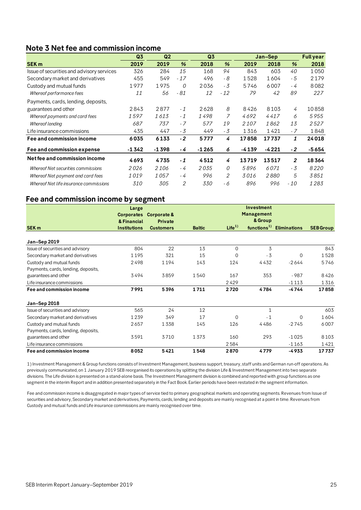### <span id="page-24-0"></span>**Note 3 Net fee and commission income**

|                                           | Q <sub>3</sub> | Q <sub>2</sub> |       | Q <sub>3</sub> |       |         | Jan-Sep |                | <b>Full year</b> |
|-------------------------------------------|----------------|----------------|-------|----------------|-------|---------|---------|----------------|------------------|
| <b>SEK m</b>                              | 2019           | 2019           | %     | 2018           | %     | 2019    | 2018    | %              | 2018             |
| Issue of securities and advisory services | 326            | 284            | 15    | 168            | 94    | 843     | 603     | 40             | 1050             |
| Secondary market and derivatives          | 455            | 549            | $-17$ | 496            | - 8   | 1528    | 1604    | - 5            | 2179             |
| Custody and mutual funds                  | 1977           | 1975           | 0     | 2036           | - 3   | 5746    | 6007    | - 4            | 8082             |
| Whereof performance fees                  | 11             | 56             | - 81  | 12             | $-12$ | 79      | 42      | 89             | 227              |
| Payments, cards, lending, deposits,       |                |                |       |                |       |         |         |                |                  |
| guarantees and other                      | 2843           | 2877           | $-1$  | 2628           | 8     | 8426    | 8103    | 4              | 10858            |
| Whereof payments and card fees            | 1597           | 1613           | $-1$  | 1498           | 7     | 4692    | 4417    | 6              | 5955             |
| Whereof lending                           | 687            | 737            | $-7$  | 577            | 19    | 2107    | 1862    | 13             | 2527             |
| Life insurance commissions                | 435            | 447            | - 3   | 449            | - 3   | 1316    | 1421    | - 7            | 1848             |
| Fee and commission income                 | 6035           | 6133           | $-2$  | 5777           | 4     | 17858   | 17737   | 1              | 24018            |
| Fee and commission expense                | $-1342$        | $-1398$        | - 4   | $-1265$        | 6     | $-4139$ | $-4221$ | $-2$           | -5654            |
| Net fee and commission income             | 4693           | 4735           | $-1$  | 4512           | 4     | 13719   | 13517   | $\overline{2}$ | 18364            |
| Whereof Net securities commissions        | 2026           | 2106           | - 4   | 2035           | 0     | 5896    | 6071    | - 3            | 8220             |
| Whereof Net payment and card fees         | 1019           | 1057           | - 4   | 996            | 2     | 3016    | 2880    | 5              | 3851             |
| Whereof Net life insurance commissions    | 310            | 305            | 2     | 330            | - 6   | 896     | 996     | $-10$          | 1283             |

### **Fee and commission income by segment**

|                                     | Large               |                        |               |                   | Investment              |                     |                  |
|-------------------------------------|---------------------|------------------------|---------------|-------------------|-------------------------|---------------------|------------------|
|                                     | <b>Corporates</b>   | <b>Corporate &amp;</b> |               |                   | <b>Management</b>       |                     |                  |
|                                     | & Financial         | Private                |               |                   | & Group                 |                     |                  |
| SEK <sub>m</sub>                    | <b>Institutions</b> | <b>Customers</b>       | <b>Baltic</b> | Life <sup>1</sup> | functions <sup>1)</sup> | <b>Eliminations</b> | <b>SEB Group</b> |
|                                     |                     |                        |               |                   |                         |                     |                  |
| Jan-Sep 2019                        |                     |                        |               |                   |                         |                     |                  |
| Issue of securities and advisory    | 804                 | 22                     | 13            | $\Omega$          | 3                       |                     | 843              |
| Secondary market and derivatives    | 1195                | 321                    | 15            | 0                 | $-3$                    | 0                   | 1528             |
| Custody and mutual funds            | 2498                | 1194                   | 143           | 124               | 4432                    | $-2644$             | 5746             |
| Payments, cards, lending, deposits, |                     |                        |               |                   |                         |                     |                  |
| guarantees and other                | 3494                | 3859                   | 1540          | 167               | 353                     | $-987$              | 8426             |
| Life insurance commissions          |                     |                        |               | 2429              |                         | $-1113$             | 1316             |
| Fee and commission income           | 7991                | 5396                   | 1711          | 2720              | 4784                    | -4744               | 17858            |
| Jan-Sep 2018                        |                     |                        |               |                   |                         |                     |                  |
| Issue of securities and advisory    | 565                 | 24                     | 12            |                   | $\mathbf{1}$            |                     | 603              |
| Secondary market and derivatives    | 1239                | 349                    | 17            | $\Omega$          | $-1$                    | 0                   | 1604             |
| Custody and mutual funds            | 2657                | 1338                   | 145           | 126               | 4486                    | $-2745$             | 6007             |
| Payments, cards, lending, deposits, |                     |                        |               |                   |                         |                     |                  |
| guarantees and other                | 3591                | 3710                   | 1373          | 160               | 293                     | $-1025$             | 8103             |
| Life insurance commissions          |                     |                        |               | 2584              |                         | $-1163$             | 1421             |
| Fee and commission income           | 8052                | 5421                   | 1548          | 2870              | 4779                    | -4933               | 17737            |

1) Investment Management & Group functions consists of Investment Management, business support, treasury, staff units and German run-off operations. As previously communicated, on 1 January 2019 SEB reorganised its operations by splitting the division Life & Investment Management into two separate divisions. The Life division is presented on a stand-alone basis. The Investment Management division is combined and reported with group functions as one segment in the interim Report and in addition presented separately in the Fact Book. Earlier periods have been restated in the segment information.

Fee and commission income is disaggregated in major types of service tied to primary geographical markets and operating segments. Revenues from Issue of securities and advisory, Secondary market and derivatives, Payments, cards, lending and deposits are mainly recognised at a point in time. Revenues from Custody and mutual funds and Life insurance commissions are mainly recognised over time.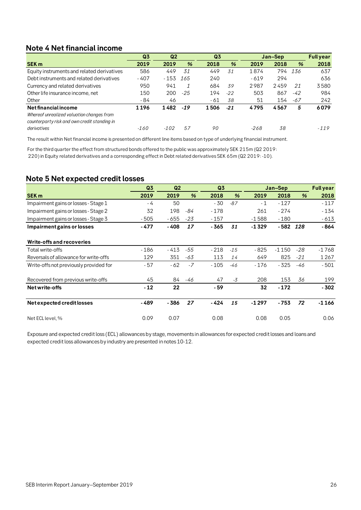### <span id="page-25-0"></span>**Note 4 Net financial income**

| <b>Note 4 Net financial income</b>           |                |                |       |                |               |         |                  |     |        |
|----------------------------------------------|----------------|----------------|-------|----------------|---------------|---------|------------------|-----|--------|
|                                              | Q <sub>3</sub> | Q <sub>2</sub> |       | Q <sub>3</sub> |               | Jan-Sep | <b>Full year</b> |     |        |
| <b>SEK m</b>                                 | 2019           | 2019           | %     | 2018           | $\frac{9}{6}$ | 2019    | 2018             | %   | 2018   |
| Equity instruments and related derivatives   | 586            | 449            | 31    | 449            | 31            | 1874    | 794              | 136 | 637    |
| Debt instruments and related derivatives     | $-407$         | $-153$         | 165   | 240            |               | $-619$  | 294              |     | 636    |
| Currency and related derivatives             | 950            | 941            | 1     | 684            | 39            | 2987    | 2459             | 21  | 3580   |
| Other life insurance income, net             | 150            | 200            | -25   | 194            | $-22$         | 503     | 867              | -42 | 984    |
| Other                                        | - 84           | 46             |       | - 61           | 38            | 51      | 154              | -67 | 242    |
| Net financial income                         | 1196           | 1482           | $-19$ | 1506           | $-21$         | 4795    | 4567             | 5   | 6079   |
| Whereof unrealized valuation changes from    |                |                |       |                |               |         |                  |     |        |
| counterparty risk and own credit standing in |                |                |       |                |               |         |                  |     |        |
| derivatives                                  | $-160$         | $-102$         | 57    | 90             |               | -268    | 38               |     | $-119$ |
|                                              |                |                |       |                |               |         |                  |     |        |

The result within Net financial income is presented on different line items based on type of underlying financial instrument.

For the third quarter the effect from structured bonds offered to the public was approximately SEK 215m (Q2 2019: 220) in Equity related derivatives and a corresponding effect in Debt related derivatives SEK 65m (Q2 2019: -10).

### <span id="page-25-1"></span>**Note 5 Net expected credit losses**

|                                        | Q <sub>3</sub> | Q <sub>2</sub> |       | Q <sub>3</sub> |       |         | Jan-Sep |               | <b>Full year</b> |
|----------------------------------------|----------------|----------------|-------|----------------|-------|---------|---------|---------------|------------------|
| <b>SEK m</b>                           | 2019           | 2019           | %     | 2018           | %     | 2019    | 2018    | $\frac{9}{6}$ | 2018             |
| Impairment gains or losses - Stage 1   | $-4$           | 50             |       | - 30           | $-87$ | $-1$    | $-127$  |               | $-117$           |
| Impairment gains or losses - Stage 2   | 32             | 198            | -84   | $-178$         |       | 261     | $-274$  |               | $-134$           |
| Impairment gains or losses - Stage 3   | $-505$         | $-655$         | $-23$ | $-157$         |       | $-1588$ | $-180$  |               | $-613$           |
| Impairment gains or losses             | - 477          | $-408$         | 17    | - 365          | 31    | $-1329$ | $-582$  | 128           | - 864            |
| Write-offs and recoveries              |                |                |       |                |       |         |         |               |                  |
| Total write-offs                       | $-186$         | - 413          | -55   | $-218$         | $-15$ | $-825$  | $-1150$ | $-28$         | -1768            |
| Reversals of allowance for write-offs  | 129            | 351            | -63   | 113            | 14    | 649     | 825     | $-21$         | 1267             |
| Write-offs not previously provided for | - 57           | $-62$          | $-7$  | $-105$         | $-46$ | $-176$  | $-325$  | -46           | $-501$           |
| Recovered from previous write-offs     | 45             | 84             | -46   | 47             | $-3$  | 208     | 153     | 36            | 199              |
| Net write-offs                         | $-12$          | 22             |       | - 59           |       | 32      | $-172$  |               | $-302$           |
| Net expected credit losses             | - 489          | - 386          | 27    | $-424$         | 15    | $-1297$ | $-753$  | 72            | $-1166$          |
| Net ECL level, %                       | 0.09           | 0.07           |       | 0.08           |       | 0.08    | 0.05    |               | 0.06             |

Exposure and expected credit loss (ECL) allowances by stage, movements in allowances for expected credit losses and loans and expected credit loss allowances by industry are presented in notes 10-12.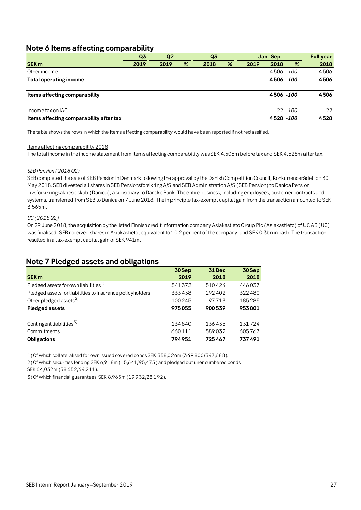### <span id="page-26-0"></span>**Note 6 Items affecting comparability**

|                                         | Q <sub>3</sub> | Q2   |   | Q <sub>3</sub> |   |      | Jan-Sep    |   | <b>Full year</b> |
|-----------------------------------------|----------------|------|---|----------------|---|------|------------|---|------------------|
| <b>SEK m</b>                            | 2019           | 2019 | % | 2018           | % | 2019 | 2018       | % | 2018             |
| Other income                            |                |      |   |                |   |      | 4506 -100  |   | 4506             |
| <b>Total operating income</b>           |                |      |   |                |   |      | 4506 -100  |   | 4506             |
| Items affecting comparability           |                |      |   |                |   |      | 4506 -100  |   | 4506             |
| Income tax on IAC                       |                |      |   |                |   |      | $22 - 100$ |   | 22               |
| Items affecting comparability after tax |                |      |   |                |   |      | 4528 - 100 |   | 4528             |

The table shows the rows in which the Items affecting comparability would have been reported if not reclassified.

### Items affecting comparability 2018

The total income in the income statement from Items affecting comparability was SEK 4,506m before tax and SEK 4,528m after tax.

### *SEB Pension (2018 Q2)*

SEB completed the sale of SEB Pension in Denmark following the approval by the Danish Competition Council, Konkurrencerådet, on 30 May 2018. SEB divested all shares in SEB Pensionsforsikring A/S and SEB Administration A/S (SEB Pension) to Danica Pension Livsforsikringsaktieselskab (Danica), a subsidiary to Danske Bank. The entire business, including employees, customer contracts and systems, transferred from SEB to Danica on 7 June 2018. The in principle tax-exempt capital gain from the transaction amounted to SEK 3,565m.

### *UC (2018 Q2)*

On 29 June 2018, the acquisition by the listed Finnish credit information company Asiakastieto Group Plc (Asiakastieto) of UC AB (UC) was finalised. SEB received shares in Asiakastieto, equivalent to 10.2 per cent of the company, and SEK 0.3bn in cash. The transaction resulted in a tax-exempt capital gain of SEK 941m.

### <span id="page-26-1"></span>**Note 7 Pledged assets and obligations**

|                                                           | 30Sep  | 31 Dec | 30 Sep |
|-----------------------------------------------------------|--------|--------|--------|
| <b>SEK m</b>                                              | 2019   | 2018   | 2018   |
| Pledged assets for own liabilities <sup>1)</sup>          | 541372 | 510424 | 446037 |
| Pledged assets for liabilities to insurance policyholders | 333438 | 292402 | 322480 |
| Other pledged assets <sup>2)</sup>                        | 100245 | 97713  | 185285 |
| <b>Pledged assets</b>                                     | 975055 | 900539 | 953801 |
|                                                           |        |        |        |
| Contingent liabilities <sup>3)</sup>                      | 134840 | 136435 | 131724 |
| Commitments                                               | 660111 | 589032 | 605767 |
| <b>Obligations</b>                                        | 794951 | 725467 | 737491 |

1) Of which collateralised for own issued covered bonds SEK 358,026m (349,800/347,688).

2) Of which securities lending SEK 6,918m (15,641/95,475) and pledged but unencumbered bonds

SEK 64,032m (58,652/64,211).

3) Of which financial guarantees SEK 8,965m (19,932/28,192).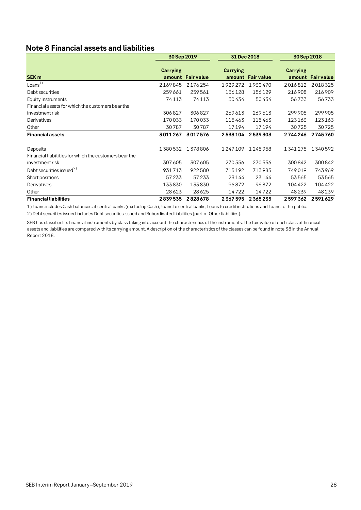### <span id="page-27-0"></span>**Note 8 Financial assets and liabilities**

|                                                        | 30 Sep 2019 |                   | 31 Dec 2018 |                   | 30 Sep 2018     |                   |  |
|--------------------------------------------------------|-------------|-------------------|-------------|-------------------|-----------------|-------------------|--|
| SEK <sub>m</sub>                                       | Carrying    | amount Fair value | Carrying    | amount Fair value | <b>Carrying</b> | amount Fair value |  |
| Loans <sup>1</sup>                                     | 2169845     | 2176254           | 1929272     | 1930470           | 2016812         | 2018325           |  |
| Debt securities                                        | 259661      | 259561            | 156128      | 156129            | 216908          | 216909            |  |
| Equity instruments                                     | 74113       | 74113             | 50434       | 50434             | 56733           | 56733             |  |
| Financial assets for which the customers bear the      |             |                   |             |                   |                 |                   |  |
| investment risk                                        | 306827      | 306827            | 269 613     | 269613            | 299 905         | 299905            |  |
| Derivatives                                            | 170033      | 170033            | 115463      | 115463            | 123163          | 123163            |  |
| Other                                                  | 30787       | 30787             | 17194       | 17194             | 30725           | 30725             |  |
| <b>Financial assets</b>                                | 3011267     | 3017576           | 2538104     | 2539303           | 2744246         | 2745760           |  |
| Deposits                                               | 1380532     | 1378806           | 1247109     | 1245958           | 1341275         | 1340592           |  |
| Financial liabilities for which the customers bear the |             |                   |             |                   |                 |                   |  |
| investment risk                                        | 307605      | 307605            | 270556      | 270556            | 300842          | 300842            |  |
| Debt securities issued <sup>2)</sup>                   | 931713      | 922580            | 715192      | 713983            | 749019          | 743969            |  |
| Short positions                                        | 57233       | 57233             | 23144       | 23144             | 53565           | 53565             |  |
| Derivatives                                            | 133830      | 133830            | 96872       | 96872             | 104422          | 104422            |  |
| Other                                                  | 28623       | 28625             | 14722       | 14722             | 48239           | 48239             |  |
| <b>Financial liabilities</b>                           | 2839535     | 2828678           | 2367595     | 2365235           | 2597362         | 2591629           |  |

1) Loans includes Cash balances at central banks (excluding Cash), Loans to central banks, Loans to credit institutions and Loans to the public.

2) Debt securities issued includes Debt securities issued and Subordinated liabilities (part of Other liablitiies).

SEB has classified its financial instruments by class taking into account the characteristics of the instruments. The fair value of each class of financial assets and liabilities are compared with its carrying amount. A description of the characteristics of the classes can be found in note 38 in the Annual Report 2018.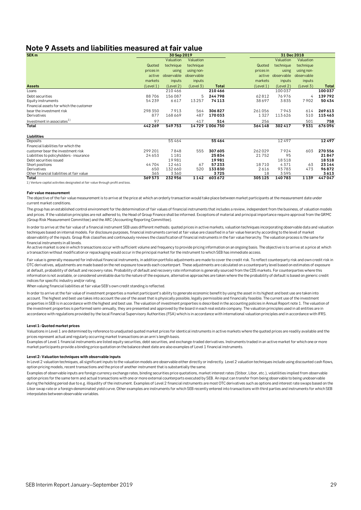### <span id="page-28-0"></span>**Note 9 Assets and liabilities measured at fair value**

| SEK <sub>m</sub>                                                                |           | 30 Sep 2019 |            |               |           | 31 Dec 2018 |            |              |  |  |
|---------------------------------------------------------------------------------|-----------|-------------|------------|---------------|-----------|-------------|------------|--------------|--|--|
|                                                                                 |           | Valuation   | Valuation  |               |           | Valuation   | Valuation  |              |  |  |
|                                                                                 | Quoted    | technique   | technique  |               | Quoted    | technique   | technique  |              |  |  |
|                                                                                 | prices in | using       | using non- |               | prices in | using       | using non- |              |  |  |
|                                                                                 | active    | observable  | observable |               | active    | observable  | observable |              |  |  |
|                                                                                 | markets   | inputs      | inputs     |               | markets   | inputs      | inputs     |              |  |  |
| <b>Assets</b>                                                                   | (Level 1) | (Level 2)   | (Level 3)  | <b>Total</b>  | (Level 1) | (Level 2)   | (Level 3)  | <b>Total</b> |  |  |
| Loans                                                                           |           | 210466      |            | 210466        |           | 100037      |            | 100037       |  |  |
| Debt securities                                                                 | 88706     | 156087      | 5          | 244798        | 62812     | 76976       | 4          | 139792       |  |  |
| Equity instruments                                                              | 54239     | 6617        | 13257      | 74113         | 38 697    | 3835        | 7902       | 50434        |  |  |
| Financial assets for which the customer                                         |           |             |            |               |           |             |            |              |  |  |
| bear the investment risk                                                        | 298350    | 7913        | 564        | 306827        | 261056    | 7943        | 614        | 269613       |  |  |
| Derivatives                                                                     | 877       | 168 669     | 487        | 170033        | 1327      | 113626      | 510        | 115463       |  |  |
| Investment in associates <sup>1)</sup>                                          | 97        |             | 417        | 514           | 256       |             | 501        | 758          |  |  |
| Total                                                                           | 442269    | 549753      |            | 14729 1006750 | 364148    | 302417      | 9531       | 676096       |  |  |
| Liabilities                                                                     |           |             |            |               |           |             |            |              |  |  |
| Deposits                                                                        |           | 55464       |            | 55 4 6 4      |           | 12497       |            | 12497        |  |  |
| Financial liabilities for which the                                             |           |             |            |               |           |             |            |              |  |  |
| customer bear the investment risk                                               | 299 201   | 7848        | 555        | 307605        | 262029    | 7924        | 603        | 270556       |  |  |
| Liabilities to policyholders - insurance                                        | 24653     | 1181        |            | 25834         | 21752     | 95          |            | 21847        |  |  |
| Debt securities issued                                                          |           | 19981       |            | 19981         |           | 18518       |            | 18518        |  |  |
| Short positions                                                                 | 44704     | 12461       | 67         | 57233         | 18710     | 4371        | 63         | 23144        |  |  |
| Derivatives                                                                     | 650       | 132 660     | 520        | 133830        | 2616      | 93783       | 473        | 96872        |  |  |
| Other financial liabilities at fair value                                       | 365       | 3360        |            | 3725          | 18        | 3595        |            | 3613         |  |  |
| Total                                                                           | 369573    | 232956      | 1142       | 603672        | 305125    | 140783      | 1139       | 447047       |  |  |
| 1) Venture capital activities designated at fair value through profit and loss. |           |             |            |               |           |             |            |              |  |  |

#### **Fair value measurement**

The objective of the fair value measurement is to arrive at the price at which an orderly transaction would take place between market participants at the measurement date under current market conditions.

The group has an established control environment for the determination of fair values of financial instruments that includes a review, independent from the business, of valuation models and prices. If the validation principles are not adhered to, the Head of Group Finance shall be informed. Exceptions of material and principal importance require approval from the GRMC (Group Risk Measurement Committee) and the ARC (Accounting Reporting Committee).

In order to arrive at the fair value of a financial instrument SEB uses different methods; quoted prices in active markets, valuation techniques incorporating observable data and valuation techniques based on internal models. For disclosure purposes, financial instruments carried at fair value are classified in a fair value hierarchy according to the level of market observability of the inputs. Group Risk classifies and continuously reviews the classification of financial instruments in the fair value hierarchy. The valuation process is the same for financial instruments in all levels.

An active market is one in which transactions occur with sufficient volume and frequency to provide pricing information on an ongoing basis. The objective is to arrive at a price at which a transaction without modification or repackaging would occur in the principal market for the instrument to which SEB has immediate access.

Fair value is generally measured for individual financial instruments, in addition portfolio adjustments are made to cover the credit risk. To reflect counterparty risk and own credit risk in OTC derivatives, adjustments are made based on the net exposure towards each counterpart. These adjustments are calculated on a counterparty level based on estimates of exposure at default, probability of default and recovery rates. Probability of default and recovery rate information is generally sourced from the CDS markets. For counterparties where this information is not available, or considered unreliable due to the nature of the exposure, alternative approaches are taken where the the probability of default is based on generic credit indices for specific industry and/or rating.

When valuing financial liabilities at fair value SEB's own credit standing is reflected.

In order to arrive at the fair value of investment properties a market participant's ability to generate economic benefit by using the asset in its highest and best use are taken into account. The highest and best use takes into account the use of the asset that is physically possible, legally permissible and financially feasible. The current use of the investment properties in SEB is in accordance with the highest and best use. The valuation of investment properties is described in the accounting policies in Annual Report note 1. The valuation of the investment properties is performed semi-annually, they are presented and approved by the board in each real estate company. The valuation principles used in all entities are in accordance with regulations provided by the local Financial Supervisory Authorities (FSA) which is in accordance with international valuation principles and in accordance with IFRS.

#### **Level 1: Quoted market prices**

Valuations in Level 1 are determined by reference to unadjusted quoted market prices for identical instruments in active markets where the quoted prices are readily available and the prices represent actual and regularly occurring market transactions on an arm's length basis.

Examples of Level 1 financial instruments are listed equity securities, debt securities, and exchange-traded derivatives. Instruments traded in an active market for which one or more market participants provide a binding price quotation on the balance sheet date are also examples of Level 1 financial instruments.

#### **Level 2: Valuation techniques with observable inputs**

In Level 2 valuation techniques, all significant inputs to the valuation models are observable either directly or indirectly. Level 2 valuation techniques include using discounted cash flows, option pricing models, recent transactions and the price of another instrument that is substantially the same.

Examples of observable inputs are foreign currency exchange rates, binding securities price quotations, market interest rates (Stibor, Libor, etc.), volatilities implied from observable option prices for the same term and actual transactions with one or more external counterparts executed by SEB. An input can transfer from being observable to being unobservable during the holding period due to e.g. illiquidity of the instrument. Examples of Level 2 financial instruments are most OTC derivatives such as options and interest rate swaps based on the Libor swap rate or a foreign-denominated yield curve. Other examples are instruments for which SEB recently entered into transactions with third parties and instruments for which SEB interpolates between observable variables.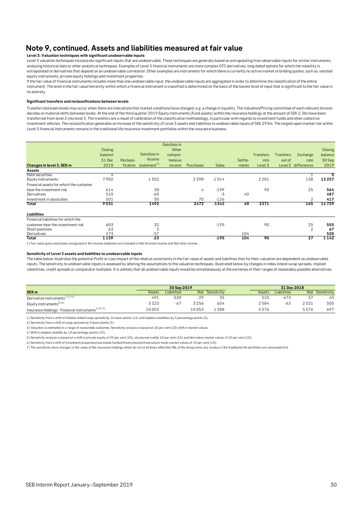### **Note 9, continued. Assets and liabilities measured at fair value**

#### **Level 3: Valuation techniques with significant unobservable inputs**

Level 3 valuation techniques incorporate significant inputs that are unobservable. These techniques are generally based on extrapolating from observable inputs for similar instruments, analysing historical data or other analytical techniques. Examples of Level 3 financial instruments are more complex OTC derivatives, long dated options for which the volatility is extrapolated or derivatives that depend on an unobservable correlation. Other examples are instruments for which there is currently no active market or binding quotes, such as unlisted equity instruments, private equity holdings and investment properties.

If the fair value of financial instruments includes more than one unobservable input, the unobservable inputs are aggregated in order to determine the classification of the entire instrument. The level in the fair value hierarchy within which a financial instrument is classified is determined on the basis of the lowest level of input that is significant to the fair value in its entirety.

#### **Significant transfers and reclassifications between levels**

Transfers between levels may occur when there are indications that market conditions have changed, e.g. a change in liquidity. The Valuation/Pricing committee of each relevant division decides on material shifts between levels. At the end of the third quarter 2019 Equity instruments (Fund assets) within the insurance holdings at the amount of SEK 2.3bn have been transferred from level 2 into level 3. The transfers are a result of calibration of the classification methodology, in particular with regards to investment funds and other collective investment vehicles. The reclassification generates an increase of the sensitivity of Level 3 assets and liabilities to unobservable inputs of SEK 293m. The largest open market risk within Level 3 financial instruments remains in the traditional life insurance investment portfolios within the insurance business.

|                                         |         |                                     | Gain/loss in |           |              |         |                  |                       |         |
|-----------------------------------------|---------|-------------------------------------|--------------|-----------|--------------|---------|------------------|-----------------------|---------|
|                                         | Closing |                                     | Other        |           |              |         |                  |                       | Closing |
|                                         | balance | Gain/loss in                        | compre-      |           |              |         | <b>Transfers</b> | Transfers<br>Exchange | balance |
|                                         | 31 Dec  | <b>Income</b><br>Reclassi-          | hensive      |           |              | Settle- | into             | out of<br>rate        | 30 Sep  |
| Changes in level 3, SEK m               | 2018    | statement <sup>1)</sup><br>fication | income       | Purchases | <b>Sales</b> | ments   | Level 3          | Level 3 differences   | 2019    |
| Assets                                  |         |                                     |              |           |              |         |                  |                       |         |
| Debt securities                         | 4       |                                     |              |           |              |         |                  |                       | 5       |
| Equity instruments                      | 7902    | 1552                                |              | 2398      | $-1014$      |         | 2 2 8 1          | 138                   | 13257   |
| Financial assets for which the customer |         |                                     |              |           |              |         |                  |                       |         |
| bear the investment risk                | 614     | 30                                  |              | 4         | $-199$       |         | 90               | 25                    | 564     |
| Derivatives                             | 510     | $-60$                               |              |           | -3           | 40      |                  |                       | 487     |
| Investment in associates                | 501     | $-30$                               |              | 70        | $-126$       |         |                  |                       | 417     |
| Total                                   | 9531    | 1492                                |              | 2472      | $-1342$      | 40      | 2371             | 165                   | 14729   |
| Liabilities                             |         |                                     |              |           |              |         |                  |                       |         |
| Financial liabilities for which the     |         |                                     |              |           |              |         |                  |                       |         |
| customer bear the investment risk       | 603     | 32                                  |              |           | $-195$       |         | 90               | 25                    | 555     |
| Short positions                         | 63      | 2                                   |              |           |              |         |                  | $\overline{2}$        | 67      |
| Derivatives                             | 473     | $-57$                               |              |           |              | 104     |                  |                       | 520     |
| Total                                   | 1139    | $-23$                               |              |           | $-195$       | 104     | 90               | 27                    | 1142    |

#### **Sensitivity of Level 3 assets and liabilities to unobservable inputs**

The table below illustrates the potential Profit or Loss impact of the relative uncertainty in the fair value of assets and liabilities that for their valuation are dependent on unobservable inputs. The sensitivity to unobservable inputs is assessed by altering the assumptions to the valuation techniques, illustrated below by changes in index-linked swap spreads, implied volatilities, credit spreads or comparator multiples. It is unlikely that all unobservable inputs would be simultaneously at the extremes of their ranges of reasonably possible alternatives.

| The table below illustrates the potential Profit or Loss impact of the relative uncertainty in the fair value of assets and liabilities that for their valuation are dependent on unobservable<br>inputs. The sensitivity to unobservable inputs is assessed by altering the assumptions to the valuation techniques, illustrated below by changes in index-linked swap spreads, implied<br>volatilities, credit spreads or comparator multiples. It is unlikely that all unobservable inputs would be simultaneously at the extremes of their ranges of reasonably possible alternatives. |        |             |       |                 |        |             |      |                 |
|--------------------------------------------------------------------------------------------------------------------------------------------------------------------------------------------------------------------------------------------------------------------------------------------------------------------------------------------------------------------------------------------------------------------------------------------------------------------------------------------------------------------------------------------------------------------------------------------|--------|-------------|-------|-----------------|--------|-------------|------|-----------------|
|                                                                                                                                                                                                                                                                                                                                                                                                                                                                                                                                                                                            |        | 30 Sep 2019 |       |                 |        | 31 Dec 2018 |      |                 |
| SEK <sub>m</sub>                                                                                                                                                                                                                                                                                                                                                                                                                                                                                                                                                                           | Assets | Liabilities |       | Net Sensitivity | Assets | Liabilities |      | Net Sensitivity |
| Derivative instruments <sup>1)2)4)</sup>                                                                                                                                                                                                                                                                                                                                                                                                                                                                                                                                                   | 491    | $-520$      | -29   | 35              | 510    | $-473$      | -37  | 45              |
| Equity instruments <sup>3)6)</sup>                                                                                                                                                                                                                                                                                                                                                                                                                                                                                                                                                         | 3323   | $-67$       | 3256  | 654             | 2584   | $-63$       | 2521 | 505             |
| Insurance holdings - Financial instruments <sup>4) 5) 7)</sup>                                                                                                                                                                                                                                                                                                                                                                                                                                                                                                                             | 10053  |             | 10053 | 1 2 8 8         | 5576   |             | 5576 | 697             |

1) Sensitivity from a shift of inflation linked swap spreads by 16 basis points (16) and implied volatilities by 5 percentage points (5).

2) Sensitivity from a shift of swap spreads by 5 basis points (5).

3) Valuation is estimated in a range of reasonable outcomes. Sensitivity analysis is based on 20 per cent (20) shift in market values.

4) Shift in implied volatility by 10 percentage points (10).

5) Sensitivity analysis is based on a shift in private equity of 20 per cent (20), structured credits 10 per cent (10) and derivative market values of 10 per cent (10).

6) Sensitivity from a shift of investment properties/real estate funds/infrastructure/infrastructure funds market values of 10 per cent (10).

7) The sensitivity show changes in the value of the insurance holdings which do not at all times affect the P&L of the Group since any surplus in the traditional life portfolios are consumed first.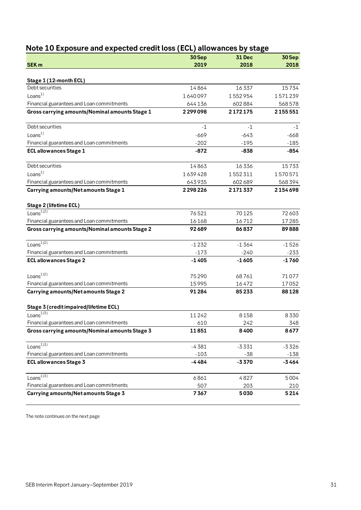|                                                |         | o             |         |
|------------------------------------------------|---------|---------------|---------|
|                                                | 30 Sep  | <b>31 Dec</b> | 30 Sep  |
| SEK <sub>m</sub>                               | 2019    | 2018          | 2018    |
| Stage 1 (12-month ECL)                         |         |               |         |
| Debt securities                                | 14864   | 16337         | 15734   |
| Loans <sup>1</sup>                             | 1640097 | 1552954       | 1571239 |
| Financial guarantees and Loan commitments      | 644136  | 602884        | 568578  |
| Gross carrying amounts/Nominal amounts Stage 1 | 2299098 | 2172175       | 2155551 |
| Debt securities                                | $-1$    | $-1$          | $-1$    |
| Loans <sup>1</sup>                             | $-669$  | $-643$        | $-668$  |
| Financial guarantees and Loan commitments      | $-202$  | $-195$        | $-185$  |
| <b>ECL allowances Stage 1</b>                  | $-872$  | $-838$        | $-854$  |
| Debt securities                                | 14863   | 16336         | 15733   |
| Loans <sup>1</sup>                             | 1639428 | 1552311       | 1570571 |
| Financial guarantees and Loan commitments      | 643935  | 602689        | 568394  |
| Carrying amounts/Net amounts Stage 1           | 2298226 | 2171337       | 2154698 |
| Stage 2 (lifetime ECL)                         |         |               |         |
| Loans <sup>1)2)</sup>                          | 76521   | 70125         | 72603   |
| Financial guarantees and Loan commitments      | 16168   | 16712         | 17285   |
| Gross carrying amounts/Nominal amounts Stage 2 | 92689   | 86837         | 89888   |
| Loans <sup><math>1)2)</math></sup>             | $-1232$ | $-1364$       | $-1526$ |
| Financial guarantees and Loan commitments      | $-173$  | $-240$        | $-233$  |
| <b>ECL allowances Stage 2</b>                  | $-1405$ | $-1605$       | $-1760$ |
| Loans <sup>1)2)</sup>                          | 75290   | 68761         | 71077   |
| Financial guarantees and Loan commitments      | 15995   | 16472         | 17052   |
| <b>Carrying amounts/Net amounts Stage 2</b>    | 91284   | 85233         | 88128   |
| Stage 3 (credit impaired/lifetime ECL)         |         |               |         |
| Loans $^{13}$                                  | 11242   | 8158          | 8330    |
| Financial guarantees and Loan commitments      | 610     | 242           | 348     |
| Gross carrying amounts/Nominal amounts Stage 3 | 11851   | 8400          | 8677    |
| Loans $^{13}$                                  | $-4381$ | $-3331$       | $-3326$ |
| Financial guarantees and Loan commitments      | $-103$  | -38           | $-138$  |
| <b>ECL allowances Stage 3</b>                  | -4484   | $-3370$       | $-3464$ |
| Loans $\overline{^{1})^{3}}$                   | 6861    | 4827          | 5004    |
| Financial guarantees and Loan commitments      | 507     | 203           | 210     |
| Carrying amounts/Net amounts Stage 3           | 7367    | 5030          | 5214    |

## <span id="page-30-0"></span>**Note 10 Exposure and expected credit loss (ECL) allowances by stage**

The note continues on the next page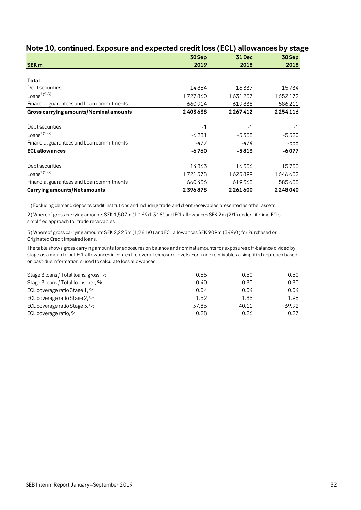|                                           | 30 Sep  | <b>31 Dec</b> | 30 Sep  |
|-------------------------------------------|---------|---------------|---------|
| <b>SEK m</b>                              | 2019    | 2018          | 2018    |
|                                           |         |               |         |
| Total                                     |         |               |         |
| Debt securities                           | 14864   | 16337         | 15734   |
| Loans <sup>1)2)3)</sup>                   | 1727860 | 1631237       | 1652172 |
| Financial guarantees and Loan commitments | 660914  | 619838        | 586211  |
| Gross carrying amounts/Nominal amounts    | 2403638 | 2267412       | 2254116 |
|                                           |         |               |         |
| Debt securities                           | $-1$    | $-1$          | $-1$    |
| Loans <sup>1)2)3)</sup>                   | $-6281$ | -5338         | $-5520$ |
| Financial guarantees and Loan commitments | -477    | -474          | -556    |
| <b>ECL allowances</b>                     | $-6760$ | $-5813$       | $-6077$ |
| Debt securities                           | 14863   | 16336         | 15733   |
| Loans $^{1/2}$ <sup>3)</sup>              | 1721578 | 1625899       | 1646652 |
| Financial guarantees and Loan commitments | 660436  | 619365        | 585655  |
| <b>Carrying amounts/Net amounts</b>       | 2396878 | 2261600       | 2248040 |

### **Note 10, continued. Exposure and expected credit loss (ECL) allowances by stage**

1) Excluding demand deposits credit institutions and including trade and client receivables presented as other assets.

2) Whereof gross carrying amounts SEK 1,507m (1,169/1,318) and ECL allowances SEK 2m (2/1) under Lifetime ECLs simplified approach for trade receivables.

3) Whereof gross carrying amounts SEK 2,225m (1,281/0) and ECL allowances SEK 909m (349/0) for Purchased or Originated Credit Impaired loans.

The table shows gross carrying amounts for exposures on balance and nominal amounts for exposures off-balance divided by stage as a mean to put ECL allowances in context to overall exposure levels. For trade receivables a simplified approach based on past-due information is used to calculate loss allowances.

| Stage 3 loans / Total loans, gross, % | 0.65  | 0.50  | 0.50  |
|---------------------------------------|-------|-------|-------|
| Stage 3 loans / Total loans, net, %   | 0.40  | 0.30  | 0.30  |
| ECL coverage ratio Stage 1, %         | 0.04  | 0.04  | 0.04  |
| ECL coverage ratio Stage 2, %         | 1.52  | 1.85  | 1.96  |
| ECL coverage ratio Stage 3, %         | 37.83 | 40.11 | 39.92 |
| ECL coverage ratio, %                 | 0.28  | 0.26  | 0.27  |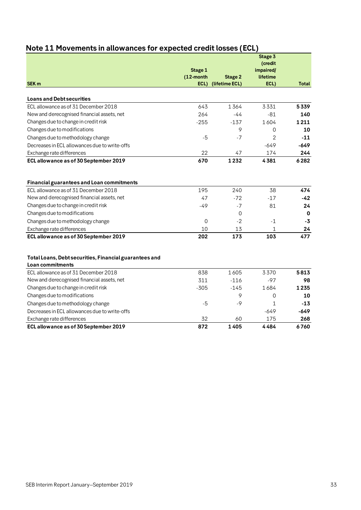|                                                                            | Stage 1<br>$(12$ -month | <b>Stage 2</b> | Stage 3<br>(credit<br>impaired/<br>lifetime |              |
|----------------------------------------------------------------------------|-------------------------|----------------|---------------------------------------------|--------------|
| <b>SEK m</b>                                                               | ECL)                    | (lifetime ECL) | ECL)                                        | <b>Total</b> |
| <b>Loans and Debt securities</b>                                           |                         |                |                                             |              |
| ECL allowance as of 31 December 2018                                       | 643                     | 1364           | 3331                                        | 5339         |
| New and derecognised financial assets, net                                 | 264                     | $-44$          | $-81$                                       | 140          |
| Changes due to change in credit risk                                       | $-255$                  | $-137$         | 1604                                        | 1211         |
| Changes due to modifications                                               |                         | 9              | 0                                           | 10           |
| Changes due to methodology change                                          | $-5$                    | $-7$           | $\overline{2}$                              | $-11$        |
| Decreases in ECL allowances due to write-offs                              |                         |                | $-649$                                      | $-649$       |
| Exchange rate differences                                                  | 22                      | 47             | 174                                         | 244          |
| ECL allowance as of 30 September 2019                                      | 670                     | 1232           | 4381                                        | 6282         |
| Financial guarantees and Loan commitments                                  |                         |                |                                             |              |
| ECL allowance as of 31 December 2018                                       | 195                     | 240            | 38                                          | 474          |
| New and derecognised financial assets, net                                 | 47                      | $-72$          | $-17$                                       | $-42$        |
| Changes due to change in credit risk                                       | $-49$                   | $-7$           | 81                                          | 24           |
| Changes due to modifications                                               |                         | $\mathbf 0$    |                                             | 0            |
| Changes due to methodology change                                          | $\mathbf 0$             | $-2$           | $-1$                                        | -3           |
| Exchange rate differences                                                  | 10                      | 13             | 1                                           | 24           |
| ECL allowance as of 30 September 2019                                      | 202                     | 173            | 103                                         | 477          |
| Total Loans, Debt securities, Financial guarantees and<br>Loan commitments |                         |                |                                             |              |
| ECL allowance as of 31 December 2018                                       | 838                     | 1605           | 3370                                        | 5813         |
| New and derecognised financial assets, net                                 | 311                     | $-116$         | $-97$                                       | 98           |
| Changes due to change in credit risk                                       | $-305$                  | $-145$         | 1684                                        | 1235         |
| Changes due to modifications                                               |                         | 9              | 0                                           | 10           |
| Changes due to methodology change                                          | $-5$                    | $-9$           | 1                                           | $-13$        |
| Decreases in ECL allowances due to write-offs                              |                         |                | -649                                        | $-649$       |
| Exchange rate differences                                                  | 32                      | 60             | 175                                         | 268          |
| ECL allowance as of 30 September 2019                                      | 872                     | 1405           | 4484                                        | 6760         |

## <span id="page-32-0"></span>**Note 11 Movements in allowances for expected credit losses (ECL)**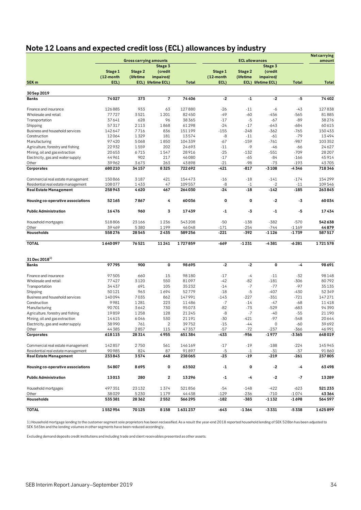## <span id="page-33-0"></span>**Note 12 Loans and expected credit loss (ECL) allowances by industry**

|                                                                     |                  |                               |                    |              |           |                       |                    |              | <b>Netcarrying</b> |
|---------------------------------------------------------------------|------------------|-------------------------------|--------------------|--------------|-----------|-----------------------|--------------------|--------------|--------------------|
|                                                                     |                  | <b>Gross carrying amounts</b> |                    |              |           | <b>ECL allowances</b> | Stage 3            |              | amount             |
|                                                                     | Stage 1          | Stage 2                       | Stage 3<br>(credit |              | Stage 1   | Stage 2               | (credit            |              |                    |
|                                                                     | (12-month        | (lifetime                     | impaired/          |              | (12-month | (lifetime             | impaired/          |              |                    |
| SEK <sub>m</sub>                                                    | ECL)             |                               | ECL) lifetime ECL) | <b>Total</b> | ECL)      |                       | ECL) lifetime ECL) | <b>Total</b> | <b>Total</b>       |
|                                                                     |                  |                               |                    |              |           |                       |                    |              |                    |
| 30 Sep 2019<br><b>Banks</b>                                         | 74027            | 373                           | 7                  | 74406        | $-2$      | $-1$                  | $-2$               | -5           | 74402              |
|                                                                     |                  |                               |                    |              |           |                       |                    |              |                    |
| Finance and insurance                                               | 126885           | 933                           | 63                 | 127880       | $-26$     | $-11$                 | -6                 | $-43$        | 127838             |
| Wholesale and retail                                                | 77727            | 3521                          | 1201               | 82450        | $-49$     | $-60$                 | -456               | $-565$       | 81885              |
| Transportation                                                      | 37641            | 628                           | 96                 | 38365        | $-17$     | $-5$                  | -67                | $-89$        | 38276              |
| Shipping                                                            | 57317            | 2113                          | 1868               | 61298        | $-24$     | $-17$                 | $-643$             | $-684$       | 60615              |
| Business and household services                                     | 142647           | 7716                          | 836                | 151199       | $-155$    | $-248$                | $-362$             | $-765$       | 150433             |
| Construction                                                        | 12064            | 1329                          | 181                | 13574        | -8        | $-11$                 | $-61$              | $-79$        | 13494              |
| Manufacturing                                                       | 97420            | 5068                          | 1850               | 104339       | $-67$     | $-159$                | $-761$             | $-987$       | 103 352            |
| Agriculture, forestry and fishing                                   | 22932            | 1559                          | 202                | 24693        | $-11$     | $-9$                  | $-46$              | $-66$        | 24627              |
| Mining, oil and gas extraction                                      | 20653            | 6715                          | 1547               | 28916        | $-25$     | $-132$                | $-551$             | $-709$       | 28 20 7            |
| Electricity, gas and water supply                                   | 44961            | 902                           | 217                | 46080        | $-17$     | $-65$                 | $-84$              | $-166$       | 45914              |
| Other                                                               | 39962            | 3673                          | 263                | 43898        | $-21$     | -98                   | $-73$              | $-193$       | 43705              |
| Corporates                                                          | 680210           | 34157                         | 8325               | 722692       | $-421$    | -817                  | $-3108$            | -4346        | 718346             |
|                                                                     | 150866           | 3187                          | 421                | 154473       | $-16$     | $-18$                 | $-141$             | $-174$       | 154299             |
| Commercial real estate management                                   |                  | 1433                          | 47                 | 109557       | -8        | $^{\circ}1$           | $-2$               | $-11$        | 109546             |
| Residential real estate management<br><b>Real Estate Management</b> | 108077<br>258943 | 4620                          | 467                | 264030       | $-24$     | $-18$                 | $-142$             | $-185$       | 263845             |
|                                                                     |                  |                               |                    |              |           |                       |                    |              |                    |
| Housing co-operative associations                                   | 52165            | 7867                          | 4                  | 60036        | 0         | 0                     | $-2$               | -3           | 60034              |
| <b>Public Administration</b>                                        | 16476            | 960                           | 3                  | 17439        | $-1$      | -3                    | $-1$               | -5           | 17434              |
| Household mortgages                                                 | 518806           | 23166                         | 1236               | 543208       | $-50$     | $-138$                | $-382$             | $-570$       | 542638             |
| Other                                                               | 39469            | 5380                          | 1199               | 46048        | $-171$    | $-254$                | $-744$             | $-1169$      | 44879              |
| Households                                                          | 558276           | 28545                         | 2435               | 589256       | $-221$    | $-392$                | $-1126$            | $-1739$      | 587517             |
| <b>TOTAL</b>                                                        | 1640097          | 76521                         | 11241              | 1727859      | $-669$    | $-1231$               | $-4381$            | $-6281$      | 1721578            |
|                                                                     |                  |                               |                    |              |           |                       |                    |              |                    |
| 31 Dec 2018 <sup>1)</sup><br><b>Banks</b>                           | 97795            | 900                           | 0                  | 98695        | $-2$      | $-2$                  | 0                  | -4           | 98691              |
|                                                                     |                  |                               |                    |              |           |                       |                    |              |                    |
| Finance and insurance                                               | 97505            | 660                           | 15                 | 98180        | $-17$     | -4                    | $-11$              | $-32$        | 98148              |
| Wholesale and retail                                                | 77427            | 3120                          | 550                | 81097        | $-42$     | -82                   | $-181$             | -306         | 80792              |
| Transportation                                                      | 34437            | 691                           | 105                | 35232        | $-14$     | $-7$                  | $-77$              | $-97$        | 35135              |
| Shipping                                                            | 50121            | 963                           | 1694               | 52779        | $-18$     | $-5$                  | $-407$             | $-430$       | 52349              |
| Business and household services                                     | 140094           | 7035                          | 862                | 147991       | $-143$    | $-227$                | $-351$             | $-721$       | 147271             |
| Construction                                                        | 9981             | 1281                          | 223                | 11486        | $-7$      | $-14$                 | $-47$              | $-68$        | 11418              |
| Manufacturing                                                       | 90701            | 3642                          | 730                | 95073        | -82       | $-73$                 | $-529$             | -683         | 94390              |
| Agriculture, forestry and fishing                                   | 19859            | 1258                          | 128                | 21245        | -8        | $-7$                  | $-40$              | $-55$        | 21 1 9 0           |
| Mining, oil and gas extraction                                      | 14615            | 6046                          | 530                | 21191        | -30       | $-421$                | $-97$              | $-548$       | 20644              |
| Electricity, gas and water supply                                   | 38990            | 761                           | $\overline{2}$     | 39752        | $-15$     | -44                   | 0                  | $-60$        | 39692              |
| Other                                                               | 44385            | 2857                          | 115                | 47357        | $-57$     | $-72$                 | -237               | $-366$       | 46991              |
| Corporates                                                          | 618115           | 28314                         | 4955               | 651384       | -433      | -956                  | $-1977$            | -3365        | 648019             |
| Commercial real estate management                                   | 142857           | 2750                          | 561                | 146169       | $-17$     | $-19$                 | $-188$             | $-224$       | 145945             |
| Residential real estate management                                  | 90985            | 824                           | 87                 | 91897        | $-5$      | $-1$                  | $-31$              | $-37$        | 91860              |
| <b>Real Estate Management</b>                                       | 233843           | 3574                          | 648                | 238065       | $-23$     | -19                   | $-219$             | $-261$       | 237805             |
| Housing co-operative associations                                   | 54807            | 8695                          | 0                  | 63502        | $-1$      | 0                     | $-2$               | -4           | 63498              |
|                                                                     |                  |                               |                    |              |           |                       |                    |              |                    |
| <b>Public Administration</b>                                        | 13013            | 280                           | $\mathbf 2$        | 13296        | $-1$      | -4                    | -2                 | $-7$         | 13289              |
| Household mortgages                                                 | 497351           | 23132                         | 1374               | 521856       | $-54$     | $-148$                | $-422$             | $-623$       | 521233             |
| Other                                                               | 38029            | 5230                          | 1179               | 44438        | $-129$    | -236                  | -710               | $-1074$      | 43364              |
| Households                                                          | 535381           | 28362                         | 2552               | 566295       | $-182$    | -383                  | -1132              | $-1698$      | 564597             |
| <b>TOTAL</b>                                                        | 1552954          | 70125                         | 8158               | 1631237      | $-643$    | $-1364$               | $-3331$            | $-5338$      | 1625899            |

1) Household mortgage lending to the customer segment sole proprietors has been reclassified. As a result the year-end 2018 reported household lending of SEK 528bn has been adjusted to SEK 565bn and the lending volumes in other segments have been reduced accordingly.

Excluding demand deposits credit institutions and including trade and client receivables presented as other assets.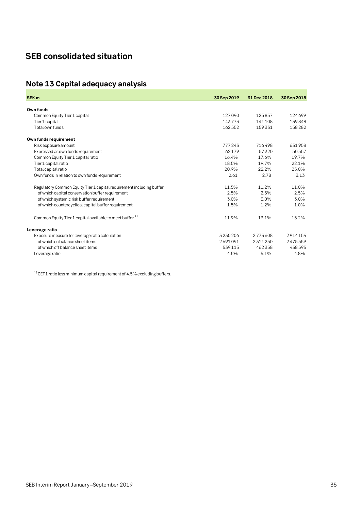## <span id="page-34-0"></span>**SEB consolidated situation**

## <span id="page-34-1"></span>**Note 13 Capital adequacy analysis**

| SEK <sub>m</sub>                                                     |             |             |             |
|----------------------------------------------------------------------|-------------|-------------|-------------|
|                                                                      | 30 Sep 2019 | 31 Dec 2018 | 30 Sep 2018 |
| Own funds                                                            |             |             |             |
| Common Equity Tier 1 capital                                         | 127090      | 125857      | 124699      |
| Tier 1 capital                                                       | 143773      | 141108      | 139848      |
| Total own funds                                                      | 162552      | 159331      | 158282      |
| Own funds requirement                                                |             |             |             |
| Risk exposure amount                                                 | 777243      | 716498      | 631958      |
| Expressed as own funds requirement                                   | 62179       | 57320       | 50557       |
| Common Equity Tier 1 capital ratio                                   | 16.4%       | 17.6%       | 19.7%       |
| Tier 1 capital ratio                                                 | 18.5%       | 19.7%       | 22.1%       |
| Total capital ratio                                                  | 20.9%       | 22.2%       | 25.0%       |
| Own funds in relation to own funds requirement                       | 2.61        | 2.78        | 3.13        |
| Regulatory Common Equity Tier 1 capital requirement including buffer | 11.5%       | 11.2%       | 11.0%       |
| of which capital conservation buffer requirement                     | 2.5%        | 2.5%        | 2.5%        |
| of which systemic risk buffer requirement                            | 3.0%        | 3.0%        | 3.0%        |
| of which countercyclical capital buffer requirement                  | 1.5%        | 1.2%        | 1.0%        |
| Common Equity Tier 1 capital available to meet buffer <sup>1)</sup>  | 11.9%       | 13.1%       | 15.2%       |
| Leverage ratio                                                       |             |             |             |
| Exposure measure for leverage ratio calculation                      | 3230206     | 2773608     | 2914154     |
| of which on balance sheet items                                      | 2691091     | 2311250     | 2475559     |
| of which off balance sheet items                                     | 539115      | 462358      | 438595      |
| Leverage ratio                                                       | 4.5%        | 5.1%        | 4.8%        |

 $^{\rm 1)}$  CET1 ratio less minimum capital requirement of 4.5% excluding buffers.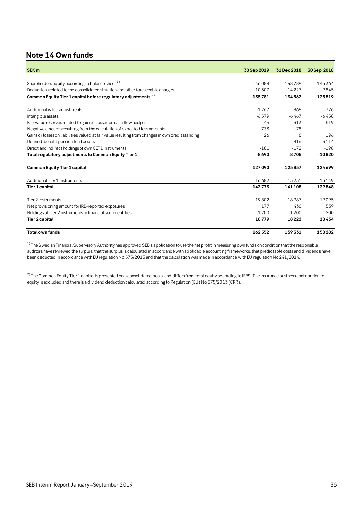### <span id="page-35-0"></span>**Note 14 Own funds**

| <b>SEK m</b>                                                                                      |             |             |             |
|---------------------------------------------------------------------------------------------------|-------------|-------------|-------------|
|                                                                                                   | 30 Sep 2019 | 31 Dec 2018 | 30 Sep 2018 |
| Shareholders equity according to balance sheet 1)                                                 | 146088      | 148789      | 145364      |
| Deductions related to the consolidated situation and other foreseeable charges                    | $-10307$    | $-14227$    | $-9845$     |
| Common Equity Tier 1 capital before regulatory adjustments <sup>2)</sup>                          | 135781      | 134562      | 135519      |
| Additional value adjustments                                                                      | $-1267$     | $-868$      | $-726$      |
| Intangible assets                                                                                 | $-6579$     | $-6467$     | $-6458$     |
| Fair value reserves related to gains or losses on cash flow hedges                                | 44          | $-313$      | $-519$      |
| Negative amounts resulting from the calculation of expected loss amounts                          | $-733$      | $-78$       |             |
| Gains or losses on liabilities valued at fair value resulting from changes in own credit standing | 26          | 8           | 196         |
| Defined-benefit pension fund assets                                                               |             | $-816$      | $-3114$     |
| Direct and indirect holdings of own CET1 instruments                                              | $-181$      | $-172$      | $-198$      |
| Total regulatory adjustments to Common Equity Tier 1                                              | $-8690$     | $-8705$     | $-10820$    |
| <b>Common Equity Tier 1 capital</b>                                                               | 127090      | 125857      | 124699      |
| Additional Tier 1 instruments                                                                     | 16682       | 15251       | 15149       |
| Tier 1 capital                                                                                    | 143773      | 141108      | 139848      |
| Tier 2 instruments                                                                                | 19802       | 18987       | 19095       |
| Net provisioning amount for IRB-reported exposures                                                | 177         | 436         | 539         |
| Holdings of Tier 2 instruments in financial sector entities                                       | $-1200$     | $-1200$     | $-1200$     |
| Tier 2 capital                                                                                    | 18779       | 18222       | 18434       |
| <b>Total own funds</b>                                                                            | 162552      | 159331      | 158282      |

 $1)$  The Swedish Financial Supervisory Authority has approved SEB's application to use the net profit in measuring own funds on condition that the responsible auditors have reviewed the surplus, that the surplus is calculated in accordance with applicable accounting frameworks, that predictable costs and dividends have been deducted in accordance with EU regulation No 575/2013 and that the calculation was made in accordance with EU regulation No 241/2014.

 $^{2)}$  The Common Equity Tier 1 capital is presented on a consolidated basis, and differs from total equity according to IFRS. The insurance business contribution to equity is excluded and there is a dividend deduction calculated according to Regulation (EU) No 575/2013 (CRR).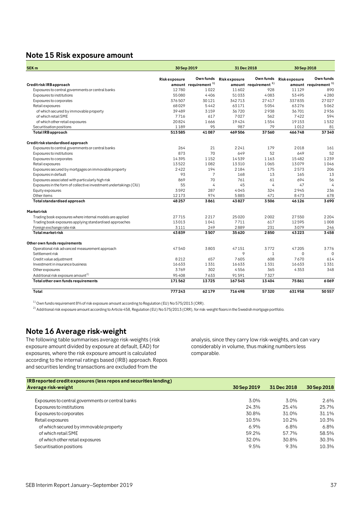### <span id="page-36-0"></span>**Note 15 Risk exposure amount**

| <b>SEK m</b>                                                      |              | 30 Sep 2019                      |                     | 31 Dec 2018                      | 30 Sep 2018             |                                  |  |
|-------------------------------------------------------------------|--------------|----------------------------------|---------------------|----------------------------------|-------------------------|----------------------------------|--|
|                                                                   | Riskexposure | Own funds                        | <b>Riskexposure</b> |                                  | Own funds Risk exposure | Own funds                        |  |
| Credit risk IRB approach                                          |              | amount requirement <sup>1)</sup> |                     | amount requirement <sup>1)</sup> |                         | amount requirement <sup>1)</sup> |  |
| Exposures to central governments or central banks                 | 12780        | 1022                             | 11602               | 928                              | 11129                   | 890                              |  |
| Exposures to institutions                                         | 55080        | 4406                             | 51033               | 4083                             | 53495                   | 4280                             |  |
| Exposures to corporates                                           | 376507       | 30121                            | 342713              | 27417                            | 337835                  | 27027                            |  |
| Retail exposures                                                  | 68029        | 5442                             | 63171               | 5054                             | 63276                   | 5062                             |  |
| of which secured by immovable property                            | 39489        | 3159                             | 36720               | 2938                             | 36701                   | 2936                             |  |
| of which retail SME                                               | 7716         | 617                              | 7027                | 562                              | 7422                    | 594                              |  |
| of which other retail exposures                                   | 20824        | 1666                             | 19424               | 1554                             | 19153                   | 1532                             |  |
| Securitisation positions                                          | 1189         | 95                               | 987                 | 79                               | 1012                    | 81                               |  |
| <b>TotalIRB</b> approach                                          | 513585       | 41087                            | 469506              | 37560                            | 466748                  | 37340                            |  |
| Credit risk standardised approach                                 |              |                                  |                     |                                  |                         |                                  |  |
| Exposures to central governments or central banks                 | 264          | 21                               | 2241                | 179                              | 2018                    | 161                              |  |
| Exposures to institutions                                         | 873          | 70                               | 649                 | 52                               | 649                     | 52                               |  |
| Exposures to corporates                                           | 14395        | 1152                             | 14539               | 1163                             | 15482                   | 1239                             |  |
| Retail exposures                                                  | 13522        | 1082                             | 13310               | 1065                             | 13079                   | 1046                             |  |
| Exposures secured by mortgages on immovable property              | 2422         | 194                              | 2184                | 175                              | 2573                    | 206                              |  |
| Exposures in default                                              | 93           | $\overline{7}$                   | 168                 | 13                               | 165                     | 13                               |  |
| Exposures associated with particularly high risk                  | 869          | 70                               | 761                 | 61                               | 694                     | 56                               |  |
| Exposures in the form of collective investment undertakings (CIU) | 55           | $\overline{4}$                   | 45                  | $\overline{4}$                   | 47                      | $\overline{4}$                   |  |
| Equity exposures                                                  | 3592         | 287                              | 4045                | 324                              | 2945                    | 236                              |  |
| Other items                                                       | 12173        | 974                              | 5885                | 471                              | 8473                    | 678                              |  |
| Total standardised approach                                       | 48257        | 3861                             | 43827               | 3506                             | 46126                   | 3690                             |  |
| Marketrisk                                                        |              |                                  |                     |                                  |                         |                                  |  |
| Trading book exposures where internal models are applied          | 27715        | 2217                             | 25020               | 2002                             | 27550                   | 2 2 0 4                          |  |
| Trading book exposures applying standardised approaches           | 13013        | 1041                             | 7711                | 617                              | 12595                   | 1008                             |  |
| Foreign exchange rate risk                                        | 3111         | 249                              | 2889                | 231                              | 3079                    | 246                              |  |
| <b>Total market risk</b>                                          | 43839        | 3507                             | 35620               | 2850                             | 43223                   | 3458                             |  |
| Other own funds requirements                                      |              |                                  |                     |                                  |                         |                                  |  |
| Operational risk advanced measurement approach                    | 47540        | 3803                             | 47151               | 3772                             | 47205                   | 3776                             |  |
| Settlement risk                                                   |              |                                  | 9                   | $\mathbf{1}$                     | 0                       | $\Omega$                         |  |
| Credit value adjustment                                           | 8212         | 657                              | 7605                | 608                              | 7670                    | 614                              |  |
| Investment in insurance business                                  | 16633        | 1331                             | 16633               | 1331                             | 16633                   | 1331                             |  |
| Other exposures                                                   | 3769         | 302                              | 4556                | 365                              | 4353                    | 348                              |  |
| Additional risk exposure amount <sup>2)</sup>                     | 95408        | 7633                             | 91591               | 7327                             |                         |                                  |  |
| Total other own funds requirements                                | 171562       | 13725                            | 167545              | 13404                            | 75861                   | 6069                             |  |
| Total                                                             | 777243       | 62179                            | 716498              | 57320                            | 631958                  | 50557                            |  |

<sup>1)</sup> Own funds requirement 8% of risk exposure amount according to Regulation (EU) No 575/2013 (CRR).

2) Additional risk exposure amount according to Article 458, Regulation (EU) No 575/2013 (CRR), for risk-weight floors in the Swedish mortgage portfolio.

### <span id="page-36-1"></span>**Note 16 Average risk-weight**

The following table summarises average risk-weights (risk exposure amount divided by exposure at default, EAD) for exposures, where the risk exposure amount is calculated according to the internal ratings based (IRB) approach. Repos and securities lending transactions are excluded from the

analysis, since they carry low risk-weights, and can vary considerably in volume, thus making numbers less comparable.

| IRB reported credit exposures (less repos and securities lending) |             |             |             |
|-------------------------------------------------------------------|-------------|-------------|-------------|
| Average risk-weight                                               | 30 Sep 2019 | 31 Dec 2018 | 30 Sep 2018 |
|                                                                   |             |             |             |
| Exposures to central governments or central banks                 | 3.0%        | 3.0%        | 2.6%        |
| Exposures to institutions                                         | 24.3%       | 25.4%       | 25.7%       |
| Exposures to corporates                                           | 30.8%       | 31.0%       | 31.1%       |
| Retail exposures                                                  | 10.5%       | 10.2%       | 10.3%       |
| of which secured by immovable property                            | 6.9%        | 6.8%        | 6.8%        |
| of which retail SME                                               | 59.2%       | 57.7%       | 58.5%       |
| of which other retail exposures                                   | 32.0%       | 30.8%       | 30.3%       |
| Securitisation positions                                          | 9.5%        | 9.3%        | 10.3%       |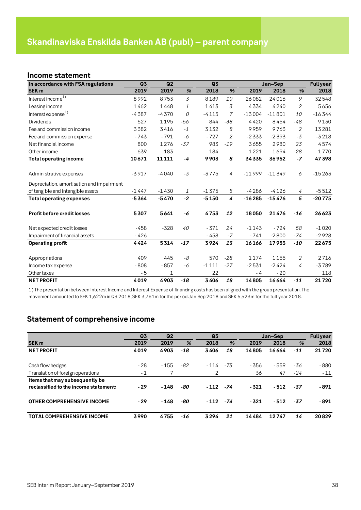### <span id="page-37-1"></span><span id="page-37-0"></span>**Income statement**

| In accordance with FSA regulations        | Q <sub>3</sub> | Q <sub>2</sub> |       | Q3      |                |          | Jan-Sep  |                | <b>Full year</b> |
|-------------------------------------------|----------------|----------------|-------|---------|----------------|----------|----------|----------------|------------------|
| <b>SEK m</b>                              | 2019           | 2019           | %     | 2018    | %              | 2019     | 2018     | %              | 2018             |
| Interest income <sup>1)</sup>             | 8992           | 8753           | 3     | 8189    | 10             | 26082    | 24016    | 9              | 32548            |
| Leasing income                            | 1462           | 1448           | 1     | 1413    | 3              | 4334     | 4240     | 2              | 5656             |
| Interest expense <sup>1)</sup>            | $-4387$        | $-4370$        | 0     | $-4115$ | $\overline{z}$ | $-13004$ | $-11801$ | 10             | $-16344$         |
| <b>Dividends</b>                          | 527            | 1195           | $-56$ | 844     | $-38$          | 4420     | 8454     | $-48$          | 9130             |
| Fee and commission income                 | 3382           | 3416           | $-1$  | 3132    | 8              | 9959     | 9763     | $\mathfrak{2}$ | 13281            |
| Fee and commission expense                | $-743$         | $-791$         | -6    | $-727$  | 2              | $-2333$  | $-2393$  | $-3$           | $-3218$          |
| Net financial income                      | 800            | 1276           | $-37$ | 983     | $-19$          | 3655     | 2980     | 23             | 4574             |
| Other income                              | 639            | 183            |       | 184     |                | 1221     | 1694     | $-28$          | 1770             |
| <b>Total operating income</b>             | 10671          | 11111          | -4    | 9903    | 8              | 34335    | 36952    | $-7$           | 47398            |
| Administrative expenses                   | $-3917$        | $-4040$        | $-3$  | $-3775$ | $\overline{4}$ | $-11999$ | $-11349$ | 6              | $-15263$         |
| Depreciation, amortisation and impairment |                |                |       |         |                |          |          |                |                  |
| of tangible and intangible assets         | $-1447$        | $-1430$        | 1     | $-1375$ | 5              | $-4286$  | $-4126$  | 4              | $-5512$          |
| <b>Total operating expenses</b>           | $-5364$        | $-5470$        | $-2$  | $-5150$ | 4              | $-16285$ | $-15476$ | 5              | $-20775$         |
| <b>Profit before credit losses</b>        | 5307           | 5641           | -6    | 4753    | 12             | 18050    | 21476    | $-16$          | 26623            |
| Net expected credit losses                | $-458$         | $-328$         | 40    | $-371$  | 24             | $-1143$  | $-724$   | 58             | $-1020$          |
| Impairment of financial assets            | $-426$         |                |       | $-458$  | $-7$           | $-741$   | $-2800$  | -74            | $-2928$          |
| <b>Operating profit</b>                   | 4424           | 5314           | $-17$ | 3924    | 13             | 16166    | 17953    | $-10$          | 22675            |
| Appropriations                            | 409            | 445            | -8    | 570     | $-28$          | 1174     | 1155     | $\overline{2}$ | 2716             |
| Income tax expense                        | $-808$         | $-857$         | -6    | $-1111$ | $-27$          | $-2531$  | $-2424$  | 4              | $-3789$          |
| Other taxes                               | $-5$           | 1              |       | 22      |                | - 4      | $-20$    |                | 118              |
| <b>NET PROFIT</b>                         | 4019           | 4903           | $-18$ | 3406    | 18             | 14805    | 16664    | $-11$          | 21720            |

1) The presentation between Interest Income and Interest Expense of financing costs has been aligned with the group presentation. The movement amounted to SEK 1,622m in Q3 2018, SEK 3,761m for the period Jan-Sep 2018 and SEK 5,523m for the full year 2018.

### <span id="page-37-2"></span>**Statement of comprehensive income**

|                                       | Q <sub>3</sub> | Q <sub>2</sub> |       | Q <sub>3</sub> |       |        | Jan-Sep |       | <b>Full year</b> |
|---------------------------------------|----------------|----------------|-------|----------------|-------|--------|---------|-------|------------------|
| <b>SEK m</b>                          | 2019           | 2019           | %     | 2018           | %     | 2019   | 2018    | %     | 2018             |
| <b>NET PROFIT</b>                     | 4019           | 4903           | $-18$ | 3406           | 18    | 14805  | 16664   | $-11$ | 21720            |
|                                       |                |                |       |                |       |        |         |       |                  |
| Cash flow hedges                      | $-28$          | $-155$         | -82   | $-114$         | $-75$ | - 356  | - 559   | -36   | - 880            |
| Translation of foreign operations     | $-1$           |                |       | 2              |       | 36     | 47      | $-24$ | $-11$            |
| Items that may subsequently be        |                |                |       |                |       |        |         |       |                  |
| reclassified to the income statement: | $-29$          | $-148$         | -80   | $-112$         | -74   | $-321$ | $-512$  | $-37$ | $-891$           |
| OTHER COMPREHENSIVE INCOME            | $-29$          | $-148$         | -80   | $-112$         | -74   | $-321$ | $-512$  | -37   | $-891$           |
| <b>TOTAL COMPREHENSIVE INCOME</b>     | 3990           | 4755           | -16   | 3294           | 21    | 14484  | 12747   | 14    | 20829            |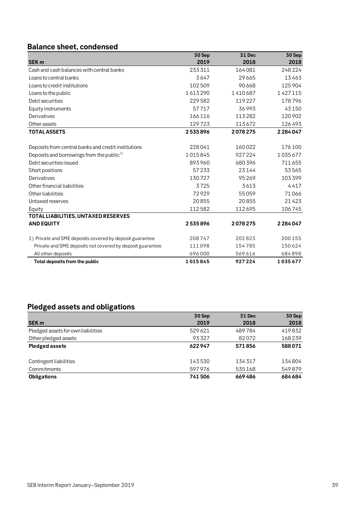## <span id="page-38-0"></span>**Balance sheet, condensed**

|                                                           | 30 Sep  | 31 Dec  | 30 Sep  |
|-----------------------------------------------------------|---------|---------|---------|
| <b>SEK m</b>                                              | 2019    | 2018    | 2018    |
| Cash and cash balances with central banks                 | 233311  | 164081  | 248224  |
| Loans to central banks                                    | 3647    | 29665   | 13463   |
| Loans to credit institutions                              | 102509  | 90 6 68 | 125904  |
| Loans to the public                                       | 1613290 | 1410687 | 1427115 |
| Debt securities                                           | 229582  | 119227  | 178796  |
| Equity instruments                                        | 57717   | 36993   | 43150   |
| Derivatives                                               | 166116  | 113282  | 120 902 |
| Other assets                                              | 129723  | 113672  | 126493  |
| <b>TOTAL ASSETS</b>                                       | 2535896 | 2078275 | 2284047 |
|                                                           |         |         |         |
| Deposits from central banks and credit institutions       | 228041  | 160022  | 176100  |
| Deposits and borrowings from the public <sup>1)</sup>     | 1015845 | 927224  | 1035677 |
| Debt securities issued                                    | 893960  | 680396  | 711655  |
| Short positions                                           | 57233   | 23144   | 53565   |
| Derivatives                                               | 130727  | 95269   | 103399  |
| Other financial liabilities                               | 3725    | 3613    | 4417    |
| Other liabilities                                         | 72929   | 55059   | 71066   |
| Untaxed reserves                                          | 20855   | 20855   | 21423   |
| Equity                                                    | 112582  | 112695  | 106745  |
| TOTAL LIABILITIES, UNTAXED RESERVES                       |         |         |         |
| <b>AND EQUITY</b>                                         | 2535896 | 2078275 | 2284047 |
| 1) Private and SME deposits covered by deposit guarantee  | 208747  | 202823  | 200 155 |
| Private and SME deposits not covered by deposit guarantee | 111098  | 154785  | 150624  |
| All other deposits                                        | 696000  | 569616  | 684898  |
| Total deposits from the public                            | 1015845 | 927224  | 1035677 |

## <span id="page-38-1"></span>**Pledged assets and obligations**

|                                    | 30 Sep | <b>31 Dec</b> | 30 Sep  |
|------------------------------------|--------|---------------|---------|
| <b>SEK m</b>                       | 2019   | 2018          | 2018    |
| Pledged assets for own liabilities | 529621 | 489784        | 419832  |
| Other pledged assets               | 93327  | 82072         | 168239  |
| <b>Pledged assets</b>              | 622947 | 571856        | 588071  |
|                                    |        |               |         |
| Contingent liabilities             | 143530 | 134317        | 134804  |
| Commitments                        | 597976 | 535168        | 549879  |
| <b>Obligations</b>                 | 741506 | 669486        | 684 684 |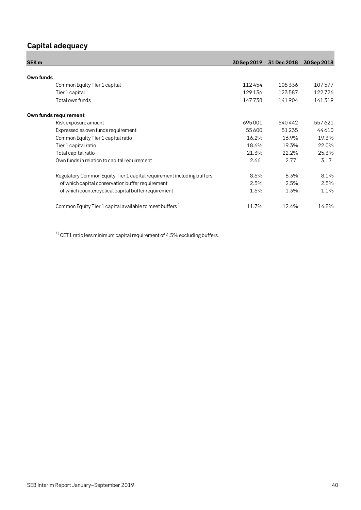## <span id="page-39-0"></span>**Capital adequacy**

| SEK <sub>m</sub>                                                      | 30 Sep 2019 | 31 Dec 2018 | 30 Sep 2018 |
|-----------------------------------------------------------------------|-------------|-------------|-------------|
|                                                                       |             |             |             |
| Own funds                                                             |             |             |             |
| Common Equity Tier 1 capital                                          | 112454      | 108336      | 107577      |
| Tier 1 capital                                                        | 129136      | 123587      | 122726      |
| Total own funds                                                       | 147738      | 141904      | 141319      |
| Own funds requirement                                                 |             |             |             |
| Risk exposure amount                                                  | 695001      | 640 442     | 557621      |
| Expressed as own funds requirement                                    | 55 600      | 51 2 3 5    | 44610       |
| Common Equity Tier 1 capital ratio                                    | 16.2%       | 16.9%       | 19.3%       |
| Tier 1 capital ratio                                                  | 18.6%       | 19.3%       | 22.0%       |
| Total capital ratio                                                   | 21.3%       | 22.2%       | 25.3%       |
| Own funds in relation to capital requirement                          | 2.66        | 2.77        | 3.17        |
| Regulatory Common Equity Tier 1 capital requirement including buffers | 8.6%        | 8.3%        | 8.1%        |
| of which capital conservation buffer requirement                      | 2.5%        | 2.5%        | 2.5%        |
| of which countercyclical capital buffer requirement                   | 1.6%        | 1.3%        | 1.1%        |
| Common Equity Tier 1 capital available to meet buffers <sup>1)</sup>  | 11.7%       | 12.4%       | 14.8%       |

 $^{\rm 1)}$  CET1 ratio less minimum capital requirement of 4.5% excluding buffers.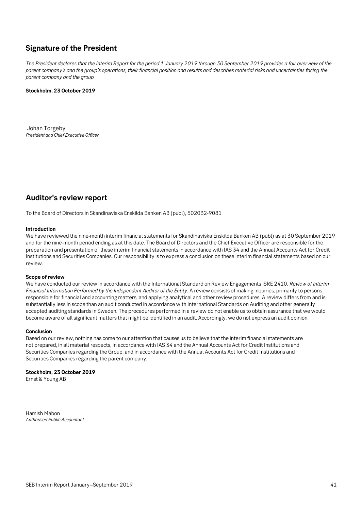### <span id="page-40-0"></span>**Signature of the President**

*The President declares that the Interim Report for the period 1 January 2019 through 30 September 2019 provides a fair overview of the parent company's and the group's operations, their financial position and results and describes material risks and uncertainties facing the parent company and the group.*

### **Stockholm, 23 October 2019**

Johan Torgeby *President and Chief Executive Officer*

### <span id="page-40-1"></span>**Auditor's review report**

To the Board of Directors in Skandinaviska Enskilda Banken AB (publ), 502032-9081

### **Introduction**

We have reviewed the nine-month interim financial statements for Skandinaviska Enskilda Banken AB (publ) as at 30 September 2019 and for the nine-month period ending as at this date. The Board of Directors and the Chief Executive Officer are responsible for the preparation and presentation of these interim financial statements in accordance with IAS 34 and the Annual Accounts Act for Credit Institutions and Securities Companies. Our responsibility is to express a conclusion on these interim financial statements based on our review.

### **Scope of review**

We have conducted our review in accordance with the International Standard on Review Engagements ISRE 2410, *Review of Interim Financial Information Performed by the Independent Auditor of the Entity*. A review consists of making inquiries, primarily to persons responsible for financial and accounting matters, and applying analytical and other review procedures. A review differs from and is substantially less in scope than an audit conducted in accordance with International Standards on Auditing and other generally accepted auditing standards in Sweden. The procedures performed in a review do not enable us to obtain assurance that we would become aware of all significant matters that might be identified in an audit. Accordingly, we do not express an audit opinion.

### **Conclusion**

Based on our review, nothing has come to our attention that causes us to believe that the interim financial statements are not prepared, in all material respects, in accordance with IAS 34 and the Annual Accounts Act for Credit Institutions and Securities Companies regarding the Group, and in accordance with the Annual Accounts Act for Credit Institutions and Securities Companies regarding the parent company.

### **Stockholm, 23 October 2019**

Ernst & Young AB

Hamish Mabon *Authorised Public Accountant*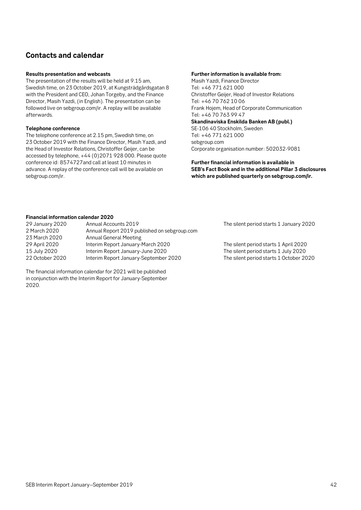### <span id="page-41-0"></span>**Contacts and calendar**

### **Results presentation and webcasts**

The presentation of the results will be held at 9.15 am, Swedish time, on 23 October 2019, at Kungsträdgårdsgatan 8 with the President and CEO, Johan Torgeby, and the Finance Director, Masih Yazdi, (in English). The presentation can be followed live on sebgroup.com/ir. A replay will be available afterwards.

### **Telephone conference**

The telephone conference at 2.15 pm, Swedish time, on 23 October 2019 with the Finance Director, Masih Yazdi, and the Head of Investor Relations, Christoffer Geijer, can be accessed by telephone, +44 (0)2071 928 000. Please quote conference id: 8574727and call at least 10 minutes in advance. A replay of the conference call will be available on sebgroup.com/ir.

### **Further information is available from:**

Masih Yazdi, Finance Director Tel: +46 771 621 000 Christoffer Geijer, Head of Investor Relations Tel: +46 70 762 10 06 Frank Hojem, Head of Corporate Communication Tel: +46 70 763 99 47 **Skandinaviska Enskilda Banken AB (publ.)** SE-106 40 Stockholm, Sweden Tel: +46 771 621 000 sebgroup.com

Corporate organisation number: 502032-9081

**Further financial information is available in SEB's Fact Book and in the additional Pillar 3 disclosures which are published quarterly on sebgroup.com/ir.** 

### **Financial information calendar 2020**

| 29 January 2020 | Annual Accounts 2019                         | The silent period starts 1 January 2020 |
|-----------------|----------------------------------------------|-----------------------------------------|
| 2 March 2020    | Annual Report 2019 published on sebgroup.com |                                         |
| 23 March 2020   | Annual General Meeting                       |                                         |
| 29 April 2020   | Interim Report January-March 2020            | The silent period starts 1 April 2020   |
| 15 July 2020    | Interim Report January-June 2020             | The silent period starts 1 July 2020    |
| 22 October 2020 | Interim Report January-September 2020        | The silent period starts 1 October 2020 |

The financial information calendar for 2021 will be published in conjunction with the Interim Report for January-September 2020.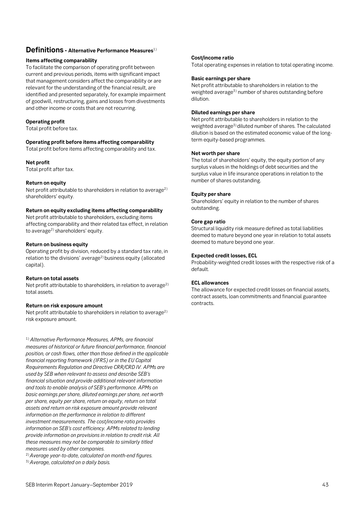### <span id="page-42-0"></span>**Definitions - Alternative Performance Measures**1)

### **Items affecting comparability**

*STOCKHOLM 3 MAY 2011* that management considers affect the comparability or are To facilitate the comparison of operating profit between current and previous periods, items with significant impact relevant for the understanding of the financial result, are identified and presented separately, for example impairment of goodwill, restructuring, gains and losses from divestments and other income or costs that are not recurring.

### **Operating profit**

Total profit before tax.

### **Operating profit before items affecting comparability**

Total profit before items affecting comparability and tax.

### **Net profit**

Total profit after tax.

### **Return on equity**

Net profit attributable to shareholders in relation to average<sup>2)</sup> shareholders' equity.

### **Return on equity excluding items affecting comparability**

Net profit attributable to shareholders, excluding items affecting comparability and their related tax effect, in relation to average2) shareholders' equity.

### **Return on business equity**

Operating profit by division, reduced by a standard tax rate, in relation to the divisions' average<sup>2)</sup> business equity (allocated capital).

### **Return on total assets**

Net profit attributable to shareholders, in relation to average<sup>2)</sup> total assets.

### **Return on risk exposure amount**

Net profit attributable to shareholders in relation to average<sup>2)</sup> risk exposure amount.

1) *Alternative Performance Measures, APMs, are financial measures of historical or future financial performance, financial position, or cash flows, other than those defined in the applicable financial reporting framework (IFRS) or in the EU Capital Requirements Regulation and Directive CRR/CRD IV. APMs are used by SEB when relevant to assess and describe SEB's financial situation and provide additional relevant information and tools to enable analysis of SEB's performance. APMs on basic earnings per share, diluted earnings per share, net worth per share, equity per share, return on equity, return on total assets and return on risk exposure amount provide relevant information on the performance in relation to different investment measurements. The cost/income ratio provides information on SEB's cost efficiency. APMs related to lending provide information on provisions in relation to credit risk. All these measures may not be comparable to similarly titled measures used by other companies.* 

2)*Average year-to-date, calculated on month-end figures.*

3)*Average, calculated on a daily basis.*

### **Cost/income ratio**

Total operating expenses in relation to total operating income.

### **Basic earnings per share**

Net profit attributable to shareholders in relation to the weighted average<sup>3</sup>) number of shares outstanding before dilution.

### **Diluted earnings per share**

Net profit attributable to shareholders in relation to the weighted average<sup>3)</sup> diluted number of shares. The calculated dilution is based on the estimated economic value of the longterm equity-based programmes.

### **Net worth per share**

The total of shareholders' equity, the equity portion of any surplus values in the holdings of debt securities and the surplus value in life insurance operations in relation to the number of shares outstanding.

### **Equity per share**

Shareholders' equity in relation to the number of shares outstanding.

### **Core gap ratio**

Structural liquidity risk measure defined as total liabilities deemed to mature beyond one year in relation to total assets deemed to mature beyond one year.

### **Expected credit losses, ECL**

Probability-weighted credit losses with the respective risk of a default.

### **ECL allowances**

The allowance for expected credit losses on financial assets, contract assets, loan commitments and financial guarantee contracts.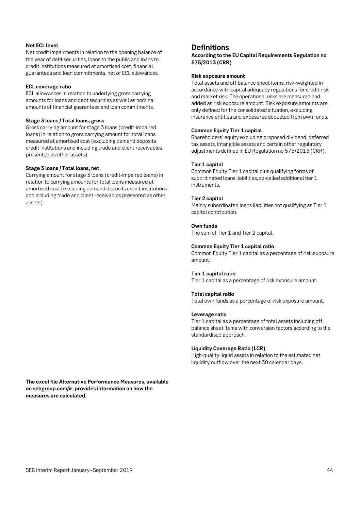### **Net ECL level**

Net credit impairments in relation to the opening balance of the year of debt securities, loans to the public and loans to credit institutions measured at amortised cost, financial guarantees and loan commitments, net of ECL allowances.

#### **ECL coverage ratio**

ECL allowances in relation to underlying gross carrying amounts for loans and debt securities as well as nominal amounts of financial guarantees and loan commitments.

#### **Stage 3 loans / Total loans, gross**

Gross carrying amount for stage 3 loans (credit-impaired loans) in relation to gross carrying amount for total loans measured at amortised cost (excluding demand deposits credit institutions and including trade and client receivables presented as other assets).

### **Stage 3 loans / Total loans, net**

Carrying amount for stage 3 loans (credit-impaired loans) in relation to carrying amounts for total loans measured at amortised cost (excluding demand deposits credit institutions and including trade and client receivables presented as other assets).

**The excel file Alternative Performance Measures, available on sebgroup.com/ir, provides information on how the** 

### **Definitions**

**According to the EU Capital Requirements Regulation no 575/2013 (CRR)**

### **Risk exposure amount**

Total assets and off balance sheet items, risk-weighted in accordance with capital adequacy regulations for credit risk and market risk. The operational risks are measured and added as risk exposure amount. Risk exposure amounts are only defined for the consolidated situation, excluding insurance entities and exposures deducted from own funds.

#### **Common Equity Tier 1 capital**

Shareholders' equity excluding proposed dividend, deferred tax assets, intangible assets and certain other regulatory adjustments defined in EU Regulation no 575/2013 (CRR).

#### **Tier 1 capital**

Common Equity Tier 1 capital plus qualifying forms of subordinated loans liabilities, so-called additional tier 1 instruments.

#### **Tier 2 capital**

Mainly subordinated loans liabilities not qualifying as Tier 1 capital contribution.

#### **Own funds**

The sum of Tier 1 and Tier 2 capital.

#### **Common Equity Tier 1 capital ratio**

Common Equity Tier 1 capital as a percentage of risk exposure amount.

#### **Tier 1 capital ratio**

Tier 1 capital as a percentage of risk exposure amount.

#### **Total capital ratio**

Total own funds as a percentage of risk exposure amount.

#### **Leverage ratio**

Tier 1 capital as a percentage of total assets including off balance sheet items with conversion factors according to the standardised approach.

### **Liquidity Coverage Ratio (LCR)**

High-quality liquid assets in relation to the estimated net liquidity outflow over the next 30 calendar days.

**measures are calculated.**